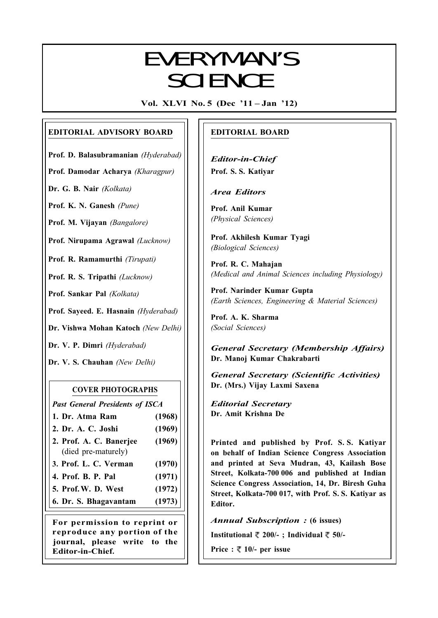# $\Gamma$ EVERYMAN'S **SCIENCE**

Vol. XLVI No. 5 (Dec '11 – Jan '12)

# EDITORIAL ADVISORY BOARD

Prof. D. Balasubramanian (Hyderabad)

Prof. Damodar Acharya (Kharagpur)

Dr. G. B. Nair (Kolkata)

Prof. K. N. Ganesh (Pune)

Prof. M. Vijayan (Bangalore)

Prof. Nirupama Agrawal (Lucknow)

Prof. R. Ramamurthi (Tirupati)

Prof. R. S. Tripathi (Lucknow)

Prof. Sankar Pal (Kolkata)

Prof. Sayeed. E. Hasnain (Hyderabad)

Dr. Vishwa Mohan Katoch (New Delhi)

Dr. V. P. Dimri (Hyderabad)

Dr. V. S. Chauhan (New Delhi)

# COVER PHOTOGRAPHS

Past General Presidents of ISCA

- 1. Dr. Atma Ram (1968)
- 2. Dr. A. C. Joshi (1969)
- 2. Prof. A. C. Banerjee (1969) (died pre-maturely)
- 3. Prof. L. C. Verman (1970)
- 4. Prof. B. P. Pal (1971)
- 5. Prof.W. D. West (1972)
- 6. Dr. S. Bhagavantam (1973)

For permission to reprint or reproduce any portion of the journal, please write to the Editor-in-Chief.

# EDITORIAL BOARD

Editor-in-Chief Prof. S. S. Katiyar

Area Editors

Prof. Anil Kumar (Physical Sciences)

Prof. Akhilesh Kumar Tyagi (Biological Sciences)

Prof. R. C. Mahajan (Medical and Animal Sciences including Physiology)

Prof. Narinder Kumar Gupta (Earth Sciences, Engineering & Material Sciences)

Prof. A. K. Sharma (Social Sciences)

General Secretary (Membership Affairs) Dr. Manoj Kumar Chakrabarti

General Secretary (Scientific Activities) Dr. (Mrs.) Vijay Laxmi Saxena

Editorial Secretary Dr. Amit Krishna De

Printed and published by Prof. S. S. Katiyar on behalf of Indian Science Congress Association and printed at Seva Mudran, 43, Kailash Bose Street, Kolkata-700 006 and published at Indian Science Congress Association, 14, Dr. Biresh Guha Street, Kolkata-700 017, with Prof. S. S. Katiyar as Editor.

Annual Subscription : (6 issues)

Institutional  $\overline{\xi}$  200/-; Individual  $\overline{\xi}$  50/-

Price :  $\sqrt[m]{ }$  10/- per issue

257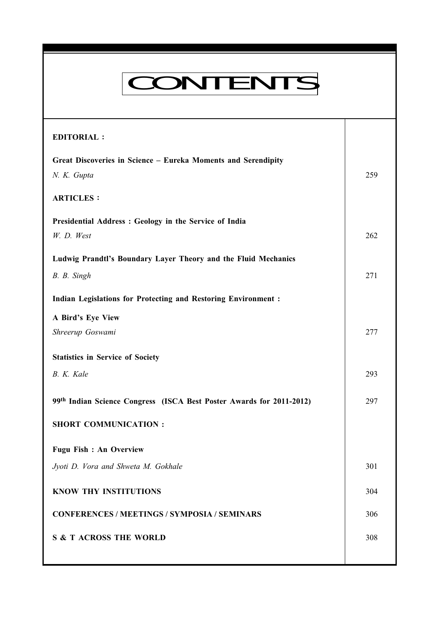| <b>CONTENTS</b>                                                               |     |
|-------------------------------------------------------------------------------|-----|
| <b>EDITORIAL:</b>                                                             |     |
| Great Discoveries in Science - Eureka Moments and Serendipity<br>N. K. Gupta  | 259 |
| <b>ARTICLES:</b>                                                              |     |
| Presidential Address: Geology in the Service of India                         |     |
| W. D. West                                                                    | 262 |
| Ludwig Prandtl's Boundary Layer Theory and the Fluid Mechanics<br>B. B. Singh | 271 |
| <b>Indian Legislations for Protecting and Restoring Environment:</b>          |     |
| A Bird's Eye View                                                             |     |
| Shreerup Goswami                                                              | 277 |
| <b>Statistics in Service of Society</b>                                       |     |
| B. K. Kale                                                                    | 293 |
| 99th Indian Science Congress (ISCA Best Poster Awards for 2011-2012)          | 297 |
| <b>SHORT COMMUNICATION:</b>                                                   |     |
| <b>Fugu Fish : An Overview</b>                                                |     |
| Jyoti D. Vora and Shweta M. Gokhale                                           | 301 |
| <b>KNOW THY INSTITUTIONS</b>                                                  | 304 |
| <b>CONFERENCES / MEETINGS / SYMPOSIA / SEMINARS</b>                           | 306 |
| <b>S &amp; T ACROSS THE WORLD</b>                                             | 308 |
|                                                                               |     |

Everyman's Science Vol. XLVI No. 5, Dec '11 — Jan '12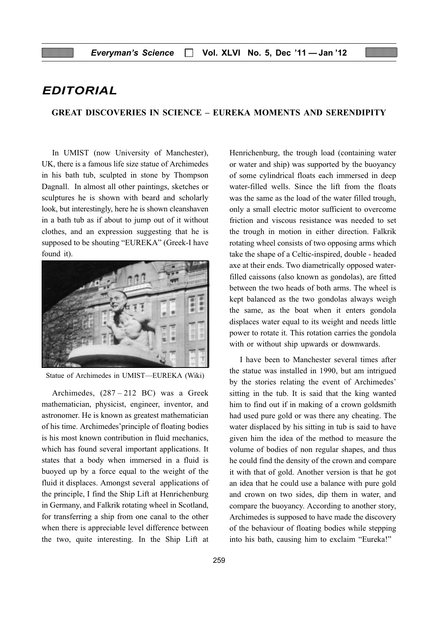# EDITORIAL

#### GREAT DISCOVERIES IN SCIENCE – EUREKA MOMENTS AND SERENDIPITY

In UMIST (now University of Manchester), UK, there is a famous life size statue of Archimedes in his bath tub, sculpted in stone by Thompson Dagnall. In almost all other paintings, sketches or sculptures he is shown with beard and scholarly look, but interestingly, here he is shown cleanshaven in a bath tub as if about to jump out of it without clothes, and an expression suggesting that he is supposed to be shouting "EUREKA" (Greek-I have found it).



Statue of Archimedes in UMIST—EUREKA (Wiki)

Archimedes, (287 – 212 BC) was a Greek mathematician, physicist, engineer, inventor, and astronomer. He is known as greatest mathematician of his time. Archimedes'principle of floating bodies is his most known contribution in fluid mechanics, which has found several important applications. It states that a body when immersed in a fluid is buoyed up by a force equal to the weight of the fluid it displaces. Amongst several applications of the principle, I find the Ship Lift at Henrichenburg in Germany, and Falkrik rotating wheel in Scotland, for transferring a ship from one canal to the other when there is appreciable level difference between the two, quite interesting. In the Ship Lift at

Henrichenburg, the trough load (containing water or water and ship) was supported by the buoyancy of some cylindrical floats each immersed in deep water-filled wells. Since the lift from the floats was the same as the load of the water filled trough, only a small electric motor sufficient to overcome friction and viscous resistance was needed to set the trough in motion in either direction. Falkrik rotating wheel consists of two opposing arms which take the shape of a Celtic-inspired, double - headed axe at their ends. Two diametrically opposed waterfilled caissons (also known as gondolas), are fitted between the two heads of both arms. The wheel is kept balanced as the two gondolas always weigh the same, as the boat when it enters gondola displaces water equal to its weight and needs little power to rotate it. This rotation carries the gondola with or without ship upwards or downwards.

I have been to Manchester several times after the statue was installed in 1990, but am intrigued by the stories relating the event of Archimedes' sitting in the tub. It is said that the king wanted him to find out if in making of a crown goldsmith had used pure gold or was there any cheating. The water displaced by his sitting in tub is said to have given him the idea of the method to measure the volume of bodies of non regular shapes, and thus he could find the density of the crown and compare it with that of gold. Another version is that he got an idea that he could use a balance with pure gold and crown on two sides, dip them in water, and compare the buoyancy. According to another story, Archimedes is supposed to have made the discovery of the behaviour of floating bodies while stepping into his bath, causing him to exclaim "Eureka!"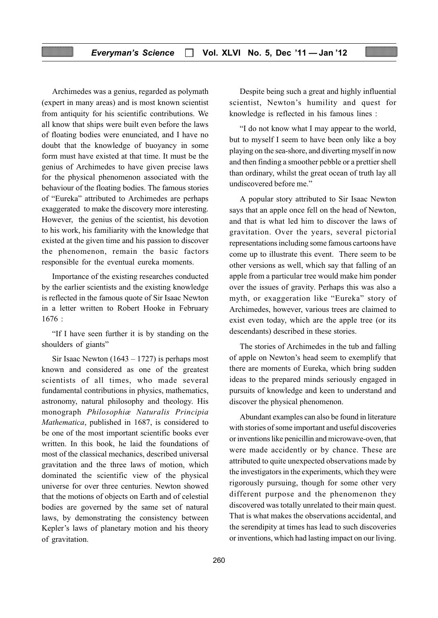Archimedes was a genius, regarded as polymath (expert in many areas) and is most known scientist from antiquity for his scientific contributions. We all know that ships were built even before the laws of floating bodies were enunciated, and I have no doubt that the knowledge of buoyancy in some form must have existed at that time. It must be the genius of Archimedes to have given precise laws for the physical phenomenon associated with the behaviour of the floating bodies. The famous stories of "Eureka" attributed to Archimedes are perhaps exaggerated to make the discovery more interesting. However, the genius of the scientist, his devotion to his work, his familiarity with the knowledge that existed at the given time and his passion to discover the phenomenon, remain the basic factors responsible for the eventual eureka moments.

Importance of the existing researches conducted by the earlier scientists and the existing knowledge is reflected in the famous quote of Sir Isaac Newton in a letter written to Robert Hooke in February 1676 :

"If I have seen further it is by standing on the shoulders of giants"

Sir Isaac Newton  $(1643 - 1727)$  is perhaps most known and considered as one of the greatest scientists of all times, who made several fundamental contributions in physics, mathematics, astronomy, natural philosophy and theology. His monograph Philosophiæ Naturalis Principia Mathematica, published in 1687, is considered to be one of the most important scientific books ever written. In this book, he laid the foundations of most of the classical mechanics, described universal gravitation and the three laws of motion, which dominated the scientific view of the physical universe for over three centuries. Newton showed that the motions of objects on Earth and of celestial bodies are governed by the same set of natural laws, by demonstrating the consistency between Kepler's laws of planetary motion and his theory of gravitation.

Despite being such a great and highly influential scientist, Newton's humility and quest for knowledge is reflected in his famous lines :

"I do not know what I may appear to the world, but to myself I seem to have been only like a boy playing on the sea-shore, and diverting myself in now and then finding a smoother pebble or a prettier shell than ordinary, whilst the great ocean of truth lay all undiscovered before me."

A popular story attributed to Sir Isaac Newton says that an apple once fell on the head of Newton, and that is what led him to discover the laws of gravitation. Over the years, several pictorial representations including some famous cartoons have come up to illustrate this event. There seem to be other versions as well, which say that falling of an apple from a particular tree would make him ponder over the issues of gravity. Perhaps this was also a myth, or exaggeration like "Eureka" story of Archimedes, however, various trees are claimed to exist even today, which are the apple tree (or its descendants) described in these stories.

The stories of Archimedes in the tub and falling of apple on Newton's head seem to exemplify that there are moments of Eureka, which bring sudden ideas to the prepared minds seriously engaged in pursuits of knowledge and keen to understand and discover the physical phenomenon.

Abundant examples can also be found in literature with stories of some important and useful discoveries or inventions like penicillin and microwave-oven, that were made accidently or by chance. These are attributed to quite unexpected observations made by the investigators in the experiments, which they were rigorously pursuing, though for some other very different purpose and the phenomenon they discovered was totally unrelated to their main quest. That is what makes the observations accidental, and the serendipity at times has lead to such discoveries or inventions, which had lasting impact on our living.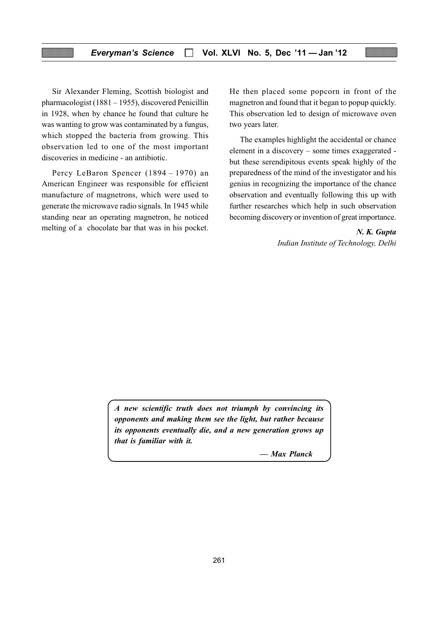Sir Alexander Fleming, Scottish biologist and pharmacologist (1881 – 1955), discovered Penicillin in 1928, when by chance he found that culture he was wanting to grow was contaminated by a fungus, which stopped the bacteria from growing. This observation led to one of the most important discoveries in medicine - an antibiotic.

Percy LeBaron Spencer (1894 – 1970) an American Engineer was responsible for efficient manufacture of magnetrons, which were used to generate the microwave radio signals. In 1945 while standing near an operating magnetron, he noticed melting of a chocolate bar that was in his pocket.

He then placed some popcorn in front of the magnetron and found that it began to popup quickly. This observation led to design of microwave oven two years later.

The examples highlight the accidental or chance element in a discovery – some times exaggerated but these serendipitous events speak highly of the preparedness of the mind of the investigator and his genius in recognizing the importance of the chance observation and eventually following this up with further researches which help in such observation becoming discovery or invention of great importance.

> N. K. Gupta Indian Institute of Technology, Delhi

A new scientific truth does not triumph by convincing its opponents and making them see the light, but rather because its opponents eventually die, and a new generation grows up that is familiar with it.

— Max Planck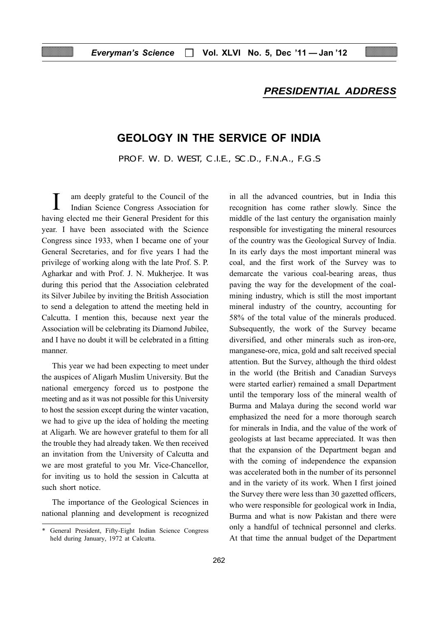## PRESIDENTIAL ADDRESS

# GEOLOGY IN THE SERVICE OF INDIA

PROF. W. D. WEST, C.I.E., SC.D., F.N.A., F.G.S

am deeply grateful to the Council of the Indian Science Congress Association for having elected me their General President for this year. I have been associated with the Science Congress since 1933, when I became one of your General Secretaries, and for five years I had the privilege of working along with the late Prof. S. P. Agharkar and with Prof. J. N. Mukherjee. It was during this period that the Association celebrated its Silver Jubilee by inviting the British Association to send a delegation to attend the meeting held in Calcutta. I mention this, because next year the Association will be celebrating its Diamond Jubilee, and I have no doubt it will be celebrated in a fitting manner.

This year we had been expecting to meet under the auspices of Aligarh Muslim University. But the national emergency forced us to postpone the meeting and as it was not possible for this University to host the session except during the winter vacation, we had to give up the idea of holding the meeting at Aligarh. We are however grateful to them for all the trouble they had already taken. We then received an invitation from the University of Calcutta and we are most grateful to you Mr. Vice-Chancellor, for inviting us to hold the session in Calcutta at such short notice.

The importance of the Geological Sciences in national planning and development is recognized in all the advanced countries, but in India this recognition has come rather slowly. Since the middle of the last century the organisation mainly responsible for investigating the mineral resources of the country was the Geological Survey of India. In its early days the most important mineral was coal, and the first work of the Survey was to demarcate the various coal-bearing areas, thus paving the way for the development of the coalmining industry, which is still the most important mineral industry of the country, accounting for 58% of the total value of the minerals produced. Subsequently, the work of the Survey became diversified, and other minerals such as iron-ore, manganese-ore, mica, gold and salt received special attention. But the Survey, although the third oldest in the world (the British and Canadian Surveys were started earlier) remained a small Department until the temporary loss of the mineral wealth of Burma and Malaya during the second world war emphasized the need for a more thorough search for minerals in India, and the value of the work of geologists at last became appreciated. It was then that the expansion of the Department began and with the coming of independence the expansion was accelerated both in the number of its personnel and in the variety of its work. When I first joined the Survey there were less than 30 gazetted officers, who were responsible for geological work in India, Burma and what is now Pakistan and there were only a handful of technical personnel and clerks. At that time the annual budget of the Department

<sup>\*</sup> General President, Fifty-Eight Indian Science Congress held during January, 1972 at Calcutta.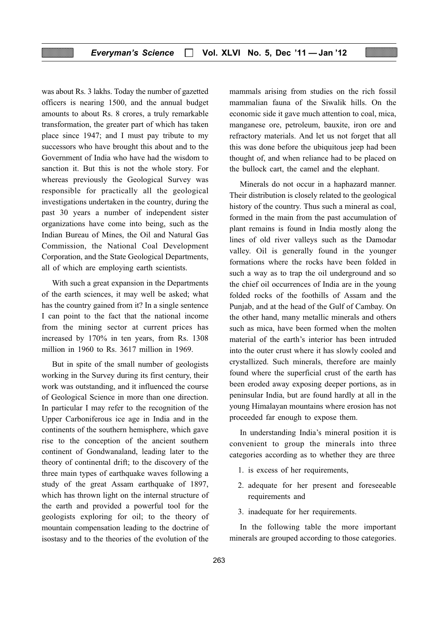was about Rs. 3 lakhs. Today the number of gazetted officers is nearing 1500, and the annual budget amounts to about Rs. 8 crores, a truly remarkable transformation, the greater part of which has taken place since 1947; and I must pay tribute to my successors who have brought this about and to the Government of India who have had the wisdom to sanction it. But this is not the whole story. For whereas previously the Geological Survey was responsible for practically all the geological investigations undertaken in the country, during the past 30 years a number of independent sister organizations have come into being, such as the Indian Bureau of Mines, the Oil and Natural Gas Commission, the National Coal Development Corporation, and the State Geological Departments, all of which are employing earth scientists.

With such a great expansion in the Departments of the earth sciences, it may well be asked; what has the country gained from it? In a single sentence I can point to the fact that the national income from the mining sector at current prices has increased by 170% in ten years, from Rs. 1308 million in 1960 to Rs. 3617 million in 1969.

But in spite of the small number of geologists working in the Survey during its first century, their work was outstanding, and it influenced the course of Geological Science in more than one direction. In particular I may refer to the recognition of the Upper Carboniferous ice age in India and in the continents of the southern hemisphere, which gave rise to the conception of the ancient southern continent of Gondwanaland, leading later to the theory of continental drift; to the discovery of the three main types of earthquake waves following a study of the great Assam earthquake of 1897, which has thrown light on the internal structure of the earth and provided a powerful tool for the geologists exploring for oil; to the theory of mountain compensation leading to the doctrine of isostasy and to the theories of the evolution of the mammals arising from studies on the rich fossil mammalian fauna of the Siwalik hills. On the economic side it gave much attention to coal, mica, manganese ore, petroleum, bauxite, iron ore and refractory materials. And let us not forget that all this was done before the ubiquitous jeep had been thought of, and when reliance had to be placed on the bullock cart, the camel and the elephant.

Minerals do not occur in a haphazard manner. Their distribution is closely related to the geological history of the country. Thus such a mineral as coal, formed in the main from the past accumulation of plant remains is found in India mostly along the lines of old river valleys such as the Damodar valley. Oil is generally found in the younger formations where the rocks have been folded in such a way as to trap the oil underground and so the chief oil occurrences of India are in the young folded rocks of the foothills of Assam and the Punjab, and at the head of the Gulf of Cambay. On the other hand, many metallic minerals and others such as mica, have been formed when the molten material of the earth's interior has been intruded into the outer crust where it has slowly cooled and crystallized. Such minerals, therefore are mainly found where the superficial crust of the earth has been eroded away exposing deeper portions, as in peninsular India, but are found hardly at all in the young Himalayan mountains where erosion has not proceeded far enough to expose them.

In understanding India's mineral position it is convenient to group the minerals into three categories according as to whether they are three

- 1. is excess of her requirements,
- 2. adequate for her present and foreseeable requirements and
- 3. inadequate for her requirements.

In the following table the more important minerals are grouped according to those categories.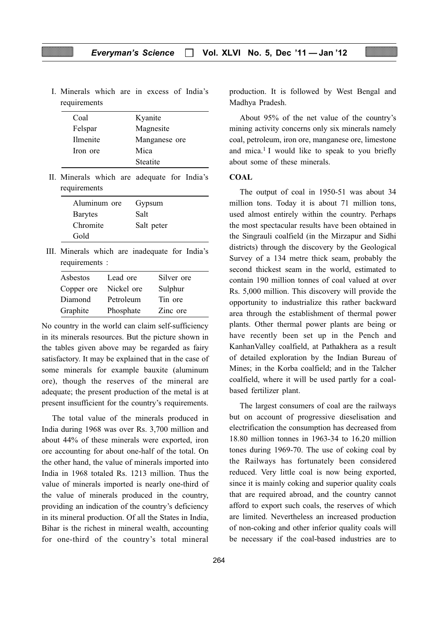I. Minerals which are in excess of India's requirements

| Coal     | Kyanite         |
|----------|-----------------|
| Felspar  | Magnesite       |
| Ilmenite | Manganese ore   |
| Iron ore | Mica            |
|          | <b>Steatite</b> |

II. Minerals which are adequate for India's requirements

| Aluminum ore   | Gypsum     |
|----------------|------------|
| <b>Barytes</b> | Salt       |
| Chromite       | Salt peter |
| Gold           |            |

III. Minerals which are inadequate for India's requirements :

| Asbestos   | Lead ore   | Silver ore |
|------------|------------|------------|
| Copper ore | Nickel ore | Sulphur    |
| Diamond    | Petroleum  | Tin ore    |
| Graphite   | Phosphate  | Zinc ore   |

No country in the world can claim self-sufficiency in its minerals resources. But the picture shown in the tables given above may be regarded as fairy satisfactory. It may be explained that in the case of some minerals for example bauxite (aluminum ore), though the reserves of the mineral are adequate; the present production of the metal is at present insufficient for the country's requirements.

The total value of the minerals produced in India during 1968 was over Rs. 3,700 million and about 44% of these minerals were exported, iron ore accounting for about one-half of the total. On the other hand, the value of minerals imported into India in 1968 totaled Rs. 1213 million. Thus the value of minerals imported is nearly one-third of the value of minerals produced in the country, providing an indication of the country's deficiency in its mineral production. Of all the States in India, Bihar is the richest in mineral wealth, accounting for one-third of the country's total mineral

production. It is followed by West Bengal and Madhya Pradesh.

About 95% of the net value of the country's mining activity concerns only six minerals namely coal, petroleum, iron ore, manganese ore, limestone and mica.<sup>1</sup> I would like to speak to you briefly about some of these minerals.

#### **COAL**

The output of coal in 1950-51 was about 34 million tons. Today it is about 71 million tons, used almost entirely within the country. Perhaps the most spectacular results have been obtained in the Singrauli coalfield (in the Mirzapur and Sidhi districts) through the discovery by the Geological Survey of a 134 metre thick seam, probably the second thickest seam in the world, estimated to contain 190 million tonnes of coal valued at over Rs. 5,000 million. This discovery will provide the opportunity to industrialize this rather backward area through the establishment of thermal power plants. Other thermal power plants are being or have recently been set up in the Pench and KanhanValley coalfield, at Pathakhera as a result of detailed exploration by the Indian Bureau of Mines; in the Korba coalfield; and in the Talcher coalfield, where it will be used partly for a coalbased fertilizer plant.

The largest consumers of coal are the railways but on account of progressive dieselisation and electrification the consumption has decreased from 18.80 million tonnes in 1963-34 to 16.20 million tones during 1969-70. The use of coking coal by the Railways has fortunately been considered reduced. Very little coal is now being exported, since it is mainly coking and superior quality coals that are required abroad, and the country cannot afford to export such coals, the reserves of which are limited. Nevertheless an increased production of non-coking and other inferior quality coals will be necessary if the coal-based industries are to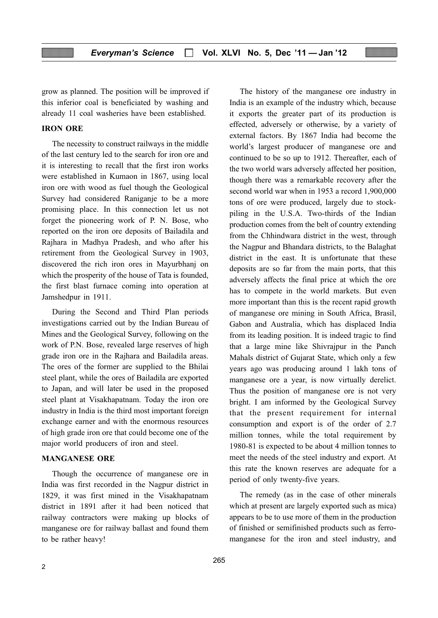grow as planned. The position will be improved if this inferior coal is beneficiated by washing and already 11 coal washeries have been established.

#### IRON ORE

The necessity to construct railways in the middle of the last century led to the search for iron ore and it is interesting to recall that the first iron works were established in Kumaon in 1867, using local iron ore with wood as fuel though the Geological Survey had considered Raniganje to be a more promising place. In this connection let us not forget the pioneering work of P. N. Bose, who reported on the iron ore deposits of Bailadila and Rajhara in Madhya Pradesh, and who after his retirement from the Geological Survey in 1903, discovered the rich iron ores in Mayurbhanj on which the prosperity of the house of Tata is founded, the first blast furnace coming into operation at Jamshedpur in 1911.

During the Second and Third Plan periods investigations carried out by the Indian Bureau of Mines and the Geological Survey, following on the work of P.N. Bose, revealed large reserves of high grade iron ore in the Rajhara and Bailadila areas. The ores of the former are supplied to the Bhilai steel plant, while the ores of Bailadila are exported to Japan, and will later be used in the proposed steel plant at Visakhapatnam. Today the iron ore industry in India is the third most important foreign exchange earner and with the enormous resources of high grade iron ore that could become one of the major world producers of iron and steel.

#### MANGANESE ORE

Though the occurrence of manganese ore in India was first recorded in the Nagpur district in 1829, it was first mined in the Visakhapatnam district in 1891 after it had been noticed that railway contractors were making up blocks of manganese ore for railway ballast and found them to be rather heavy!

The history of the manganese ore industry in India is an example of the industry which, because it exports the greater part of its production is effected, adversely or otherwise, by a variety of external factors. By 1867 India had become the world's largest producer of manganese ore and continued to be so up to 1912. Thereafter, each of the two world wars adversely affected her position, though there was a remarkable recovery after the second world war when in 1953 a record 1,900,000 tons of ore were produced, largely due to stockpiling in the U.S.A. Two-thirds of the Indian production comes from the belt of country extending from the Chhindwara district in the west, through the Nagpur and Bhandara districts, to the Balaghat district in the east. It is unfortunate that these deposits are so far from the main ports, that this adversely affects the final price at which the ore has to compete in the world markets. But even more important than this is the recent rapid growth of manganese ore mining in South Africa, Brasil, Gabon and Australia, which has displaced India from its leading position. It is indeed tragic to find that a large mine like Shivrajpur in the Panch Mahals district of Gujarat State, which only a few years ago was producing around 1 lakh tons of manganese ore a year, is now virtually derelict. Thus the position of manganese ore is not very bright. I am informed by the Geological Survey that the present requirement for internal consumption and export is of the order of 2.7 million tonnes, while the total requirement by 1980-81 is expected to be about 4 million tonnes to meet the needs of the steel industry and export. At this rate the known reserves are adequate for a period of only twenty-five years.

The remedy (as in the case of other minerals which at present are largely exported such as mica) appears to be to use more of them in the production of finished or semifinished products such as ferromanganese for the iron and steel industry, and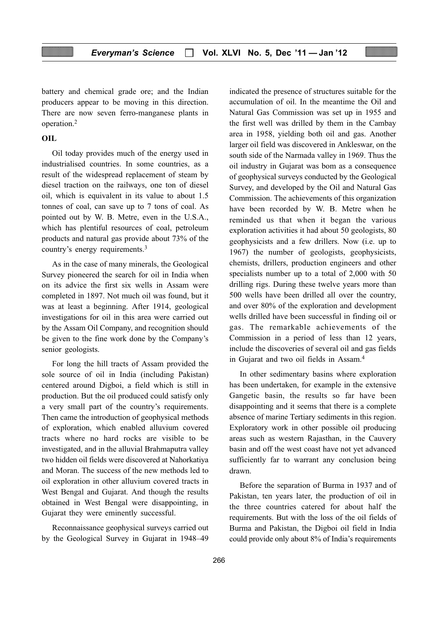battery and chemical grade ore; and the Indian producers appear to be moving in this direction. There are now seven ferro-manganese plants in operation.2

#### **OIL**

Oil today provides much of the energy used in industrialised countries. In some countries, as a result of the widespread replacement of steam by diesel traction on the railways, one ton of diesel oil, which is equivalent in its value to about 1.5 tonnes of coal, can save up to 7 tons of coal. As pointed out by W. B. Metre, even in the U.S.A., which has plentiful resources of coal, petroleum products and natural gas provide about 73% of the country's energy requirements.3

As in the case of many minerals, the Geological Survey pioneered the search for oil in India when on its advice the first six wells in Assam were completed in 1897. Not much oil was found, but it was at least a beginning. After 1914, geological investigations for oil in this area were carried out by the Assam Oil Company, and recognition should be given to the fine work done by the Company's senior geologists.

For long the hill tracts of Assam provided the sole source of oil in India (including Pakistan) centered around Digboi, a field which is still in production. But the oil produced could satisfy only a very small part of the country's requirements. Then came the introduction of geophysical methods of exploration, which enabled alluvium covered tracts where no hard rocks are visible to be investigated, and in the alluvial Brahmaputra valley two hidden oil fields were discovered at Nahorkatiya and Moran. The success of the new methods led to oil exploration in other alluvium covered tracts in West Bengal and Gujarat. And though the results obtained in West Bengal were disappointing, in Gujarat they were eminently successful.

Reconnaissance geophysical surveys carried out by the Geological Survey in Gujarat in 1948–49

indicated the presence of structures suitable for the accumulation of oil. In the meantime the Oil and Natural Gas Commission was set up in 1955 and the first well was drilled by them in the Cambay area in 1958, yielding both oil and gas. Another larger oil field was discovered in Ankleswar, on the south side of the Narmada valley in 1969. Thus the oil industry in Gujarat was bom as a consequence of geophysical surveys conducted by the Geological Survey, and developed by the Oil and Natural Gas Commission. The achievements of this organization have been recorded by W. B. Metre when he reminded us that when it began the various exploration activities it had about 50 geologists, 80 geophysicists and a few drillers. Now (i.e. up to 1967) the number of geologists, geophysicists, chemists, drillers, production engineers and other specialists number up to a total of 2,000 with 50 drilling rigs. During these twelve years more than 500 wells have been drilled all over the country, and over 80% of the exploration and development wells drilled have been successful in finding oil or gas. The remarkable achievements of the Commission in a period of less than 12 years, include the discoveries of several oil and gas fields in Gujarat and two oil fields in Assam.4

In other sedimentary basins where exploration has been undertaken, for example in the extensive Gangetic basin, the results so far have been disappointing and it seems that there is a complete absence of marine Tertiary sediments in this region. Exploratory work in other possible oil producing areas such as western Rajasthan, in the Cauvery basin and off the west coast have not yet advanced sufficiently far to warrant any conclusion being drawn.

Before the separation of Burma in 1937 and of Pakistan, ten years later, the production of oil in the three countries catered for about half the requirements. But with the loss of the oil fields of Burma and Pakistan, the Digboi oil field in India could provide only about 8% of India's requirements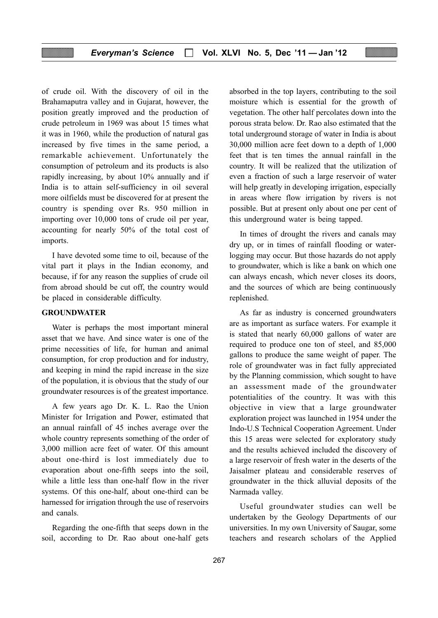of crude oil. With the discovery of oil in the Brahamaputra valley and in Gujarat, however, the position greatly improved and the production of crude petroleum in 1969 was about 15 times what it was in 1960, while the production of natural gas increased by five times in the same period, a remarkable achievement. Unfortunately the consumption of petroleum and its products is also rapidly increasing, by about 10% annually and if India is to attain self-sufficiency in oil several more oilfields must be discovered for at present the country is spending over Rs. 950 million in importing over 10,000 tons of crude oil per year, accounting for nearly 50% of the total cost of imports.

I have devoted some time to oil, because of the vital part it plays in the Indian economy, and because, if for any reason the supplies of crude oil from abroad should be cut off, the country would be placed in considerable difficulty.

#### GROUNDWATER

Water is perhaps the most important mineral asset that we have. And since water is one of the prime necessities of life, for human and animal consumption, for crop production and for industry, and keeping in mind the rapid increase in the size of the population, it is obvious that the study of our groundwater resources is of the greatest importance.

A few years ago Dr. K. L. Rao the Union Minister for Irrigation and Power, estimated that an annual rainfall of 45 inches average over the whole country represents something of the order of 3,000 million acre feet of water. Of this amount about one-third is lost immediately due to evaporation about one-fifth seeps into the soil, while a little less than one-half flow in the river systems. Of this one-half, about one-third can be harnessed for irrigation through the use of reservoirs and canals.

Regarding the one-fifth that seeps down in the soil, according to Dr. Rao about one-half gets absorbed in the top layers, contributing to the soil moisture which is essential for the growth of vegetation. The other half percolates down into the porous strata below. Dr. Rao also estimated that the total underground storage of water in India is about 30,000 million acre feet down to a depth of 1,000 feet that is ten times the annual rainfall in the country. It will be realized that the utilization of even a fraction of such a large reservoir of water will help greatly in developing irrigation, especially in areas where flow irrigation by rivers is not possible. But at present only about one per cent of this underground water is being tapped.

In times of drought the rivers and canals may dry up, or in times of rainfall flooding or waterlogging may occur. But those hazards do not apply to groundwater, which is like a bank on which one can always encash, which never closes its doors, and the sources of which are being continuously replenished.

As far as industry is concerned groundwaters are as important as surface waters. For example it is stated that nearly 60,000 gallons of water are required to produce one ton of steel, and 85,000 gallons to produce the same weight of paper. The role of groundwater was in fact fully appreciated by the Planning commission, which sought to have an assessment made of the groundwater potentialities of the country. It was with this objective in view that a large groundwater exploration project was launched in 1954 under the Indo-U.S Technical Cooperation Agreement. Under this 15 areas were selected for exploratory study and the results achieved included the discovery of a large reservoir of fresh water in the deserts of the Jaisalmer plateau and considerable reserves of groundwater in the thick alluvial deposits of the Narmada valley.

Useful groundwater studies can well be undertaken by the Geology Departments of our universities. In my own University of Saugar, some teachers and research scholars of the Applied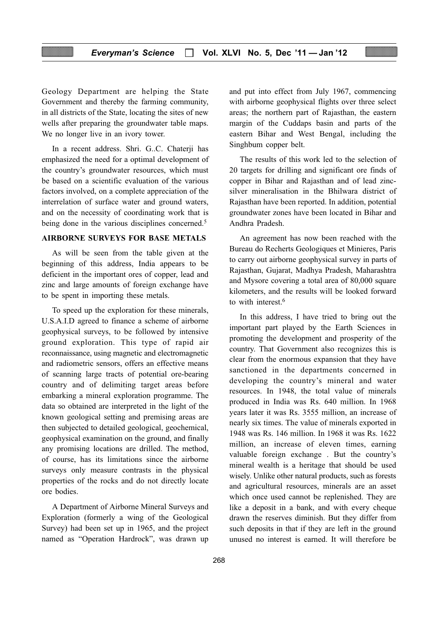Geology Department are helping the State Government and thereby the farming community, in all districts of the State, locating the sites of new wells after preparing the groundwater table maps. We no longer live in an ivory tower.

In a recent address. Shri. G..C. Chaterji has emphasized the need for a optimal development of the country's groundwater resources, which must be based on a scientific evaluation of the various factors involved, on a complete appreciation of the interrelation of surface water and ground waters, and on the necessity of coordinating work that is being done in the various disciplines concerned.<sup>5</sup>

#### AIRBORNE SURVEYS FOR BASE METALS

As will be seen from the table given at the beginning of this address, India appears to be deficient in the important ores of copper, lead and zinc and large amounts of foreign exchange have to be spent in importing these metals.

To speed up the exploration for these minerals, U.S.A.I.D agreed to finance a scheme of airborne geophysical surveys, to be followed by intensive ground exploration. This type of rapid air reconnaissance, using magnetic and electromagnetic and radiometric sensors, offers an effective means of scanning large tracts of potential ore-bearing country and of delimiting target areas before embarking a mineral exploration programme. The data so obtained are interpreted in the light of the known geological setting and premising areas are then subjected to detailed geological, geochemical, geophysical examination on the ground, and finally any promising locations are drilled. The method, of course, has its limitations since the airborne surveys only measure contrasts in the physical properties of the rocks and do not directly locate ore bodies.

A Department of Airborne Mineral Surveys and Exploration (formerly a wing of the Geological Survey) had been set up in 1965, and the project named as "Operation Hardrock", was drawn up and put into effect from July 1967, commencing with airborne geophysical flights over three select areas; the northern part of Rajasthan, the eastern margin of the Cuddaps basin and parts of the eastern Bihar and West Bengal, including the Singhbum copper belt.

The results of this work led to the selection of 20 targets for drilling and significant ore finds of copper in Bihar and Rajasthan and of lead zincsilver mineralisation in the Bhilwara district of Rajasthan have been reported. In addition, potential groundwater zones have been located in Bihar and Andhra Pradesh.

An agreement has now been reached with the Bureau do Recherts Geologiques et Minieres, Paris to carry out airborne geophysical survey in parts of Rajasthan, Gujarat, Madhya Pradesh, Maharashtra and Mysore covering a total area of 80,000 square kilometers, and the results will be looked forward to with interest  $6$ 

In this address, I have tried to bring out the important part played by the Earth Sciences in promoting the development and prosperity of the country. That Government also recognizes this is clear from the enormous expansion that they have sanctioned in the departments concerned in developing the country's mineral and water resources. In 1948, the total value of minerals produced in India was Rs. 640 million. In 1968 years later it was Rs. 3555 million, an increase of nearly six times. The value of minerals exported in 1948 was Rs. 146 million. In 1968 it was Rs. 1622 million, an increase of eleven times, earning valuable foreign exchange . But the country's mineral wealth is a heritage that should be used wisely. Unlike other natural products, such as forests and agricultural resources, minerals are an asset which once used cannot be replenished. They are like a deposit in a bank, and with every cheque drawn the reserves diminish. But they differ from such deposits in that if they are left in the ground unused no interest is earned. It will therefore be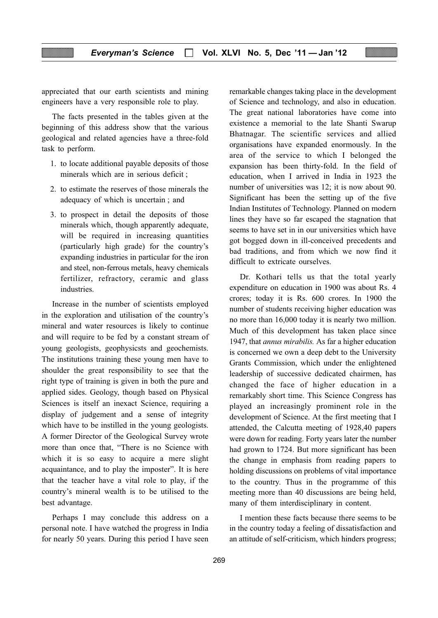appreciated that our earth scientists and mining engineers have a very responsible role to play.

The facts presented in the tables given at the beginning of this address show that the various geological and related agencies have a three-fold task to perform.

- 1. to locate additional payable deposits of those minerals which are in serious deficit ;
- 2. to estimate the reserves of those minerals the adequacy of which is uncertain ; and
- 3. to prospect in detail the deposits of those minerals which, though apparently adequate, will be required in increasing quantities (particularly high grade) for the country's expanding industries in particular for the iron and steel, non-ferrous metals, heavy chemicals fertilizer, refractory, ceramic and glass industries.

Increase in the number of scientists employed in the exploration and utilisation of the country's mineral and water resources is likely to continue and will require to be fed by a constant stream of young geologists, geophysicsts and geochemists. The institutions training these young men have to shoulder the great responsibility to see that the right type of training is given in both the pure and applied sides. Geology, though based on Physical Sciences is itself an inexact Science, requiring a display of judgement and a sense of integrity which have to be instilled in the young geologists. A former Director of the Geological Survey wrote more than once that, "There is no Science with which it is so easy to acquire a mere slight acquaintance, and to play the imposter". It is here that the teacher have a vital role to play, if the country's mineral wealth is to be utilised to the best advantage.

Perhaps I may conclude this address on a personal note. I have watched the progress in India for nearly 50 years. During this period I have seen

remarkable changes taking place in the development of Science and technology, and also in education. The great national laboratories have come into existence a memorial to the late Shanti Swarup Bhatnagar. The scientific services and allied organisations have expanded enormously. In the area of the service to which I belonged the expansion has been thirty-fold. In the field of education, when I arrived in India in 1923 the number of universities was 12; it is now about 90. Significant has been the setting up of the five Indian Institutes of Technology. Planned on modern lines they have so far escaped the stagnation that seems to have set in in our universities which have got bogged down in ill-conceived precedents and bad traditions, and from which we now find it difficult to extricate ourselves.

Dr. Kothari tells us that the total yearly expenditure on education in 1900 was about Rs. 4 crores; today it is Rs. 600 crores. In 1900 the number of students receiving higher education was no more than 16,000 today it is nearly two million. Much of this development has taken place since 1947, that annus mirabilis. As far a higher education is concerned we own a deep debt to the University Grants Commission, which under the enlightened leadership of successive dedicated chairmen, has changed the face of higher education in a remarkably short time. This Science Congress has played an increasingly prominent role in the development of Science. At the first meeting that I attended, the Calcutta meeting of 1928,40 papers were down for reading. Forty years later the number had grown to 1724. But more significant has been the change in emphasis from reading papers to holding discussions on problems of vital importance to the country. Thus in the programme of this meeting more than 40 discussions are being held, many of them interdisciplinary in content.

I mention these facts because there seems to be in the country today a feeling of dissatisfaction and an attitude of self-criticism, which hinders progress;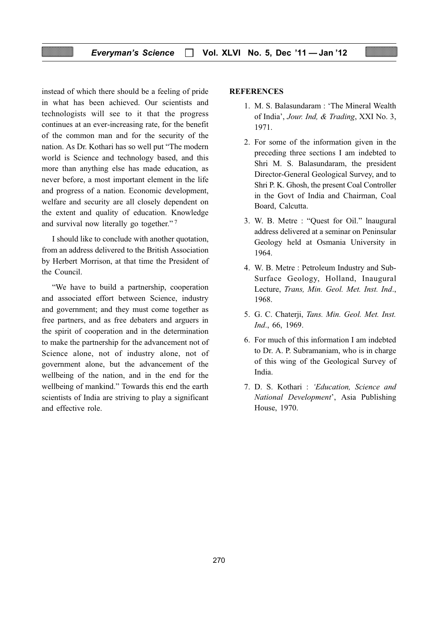instead of which there should be a feeling of pride in what has been achieved. Our scientists and technologists will see to it that the progress continues at an ever-increasing rate, for the benefit of the common man and for the security of the nation. As Dr. Kothari has so well put "The modern world is Science and technology based, and this more than anything else has made education, as never before, a most important element in the life and progress of a nation. Economic development, welfare and security are all closely dependent on the extent and quality of education. Knowledge and survival now literally go together." <sup>7</sup>

I should like to conclude with another quotation, from an address delivered to the British Association by Herbert Morrison, at that time the President of the Council.

"We have to build a partnership, cooperation and associated effort between Science, industry and government; and they must come together as free partners, and as free debaters and arguers in the spirit of cooperation and in the determination to make the partnership for the advancement not of Science alone, not of industry alone, not of government alone, but the advancement of the wellbeing of the nation, and in the end for the wellbeing of mankind." Towards this end the earth scientists of India are striving to play a significant and effective role.

#### **REFERENCES**

- 1. M. S. Balasundaram : 'The Mineral Wealth of India', Jour. Ind, & Trading, XXI No. 3, 1971.
- 2. For some of the information given in the preceding three sections I am indebted to Shri M. S. Balasundaram, the president Director-General Geological Survey, and to Shri P. K. Ghosh, the present Coal Controller in the Govt of India and Chairman, Coal Board, Calcutta.
- 3. W. B. Metre : "Quest for Oil." lnaugural address delivered at a seminar on Peninsular Geology held at Osmania University in 1964.
- 4. W. B. Metre : Petroleum Industry and Sub-Surface Geology, Holland, Inaugural Lecture, Trans, Min. Geol. Met. Inst. Ind., 1968.
- 5. G. C. Chaterji, Tans. Min. Geol. Met. Inst. Ind., 66, 1969.
- 6. For much of this information I am indebted to Dr. A. P. Subramaniam, who is in charge of this wing of the Geological Survey of India.
- 7. D. S. Kothari : 'Education, Science and National Development', Asia Publishing House, 1970.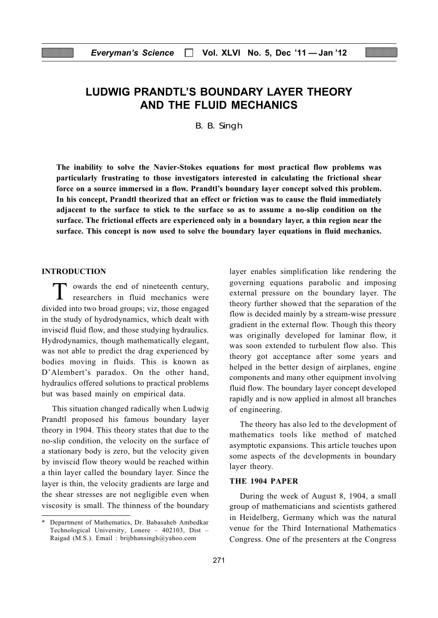# LUDWIG PRANDTL'S BOUNDARY LAYER THEORY AND THE FLUID MECHANICS

B. B. Singh

The inability to solve the Navier-Stokes equations for most practical flow problems was particularly frustrating to those investigators interested in calculating the frictional shear force on a source immersed in a flow. Prandtl's boundary layer concept solved this problem. In his concept, Prandtl theorized that an effect or friction was to cause the fluid immediately adjacent to the surface to stick to the surface so as to assume a no-slip condition on the surface. The frictional effects are experienced only in a boundary layer, a thin region near the surface. This concept is now used to solve the boundary layer equations in fluid mechanics.

#### INTRODUCTION

T owards the end of nineteenth century, researchers in fluid mechanics were divided into two broad groups; viz, those engaged in the study of hydrodynamics, which dealt with inviscid fluid flow, and those studying hydraulics. Hydrodynamics, though mathematically elegant, was not able to predict the drag experienced by bodies moving in fluids. This is known as D'Alembert's paradox. On the other hand, hydraulics offered solutions to practical problems but was based mainly on empirical data.

This situation changed radically when Ludwig Prandtl proposed his famous boundary layer theory in 1904. This theory states that due to the no-slip condition, the velocity on the surface of a stationary body is zero, but the velocity given by inviscid flow theory would be reached within a thin layer called the boundary layer. Since the layer is thin, the velocity gradients are large and the shear stresses are not negligible even when viscosity is small. The thinness of the boundary layer enables simplification like rendering the governing equations parabolic and imposing external pressure on the boundary layer. The theory further showed that the separation of the flow is decided mainly by a stream-wise pressure gradient in the external flow. Though this theory was originally developed for laminar flow, it was soon extended to turbulent flow also. This theory got acceptance after some years and helped in the better design of airplanes, engine components and many other equipment involving fluid flow. The boundary layer concept developed rapidly and is now applied in almost all branches of engineering.

The theory has also led to the development of mathematics tools like method of matched asymptotic expansions. This article touches upon some aspects of the developments in boundary layer theory.

#### THE 1904 PAPER

During the week of August 8, 1904, a small group of mathematicians and scientists gathered in Heidelberg, Germany which was the natural venue for the Third International Mathematics Congress. One of the presenters at the Congress

<sup>\*</sup> Department of Mathematics, Dr. Babasaheb Ambedkar Technological University, Lonere – 402103, Dist – Raigad (M.S.). Email : brijbhansingh@yahoo.com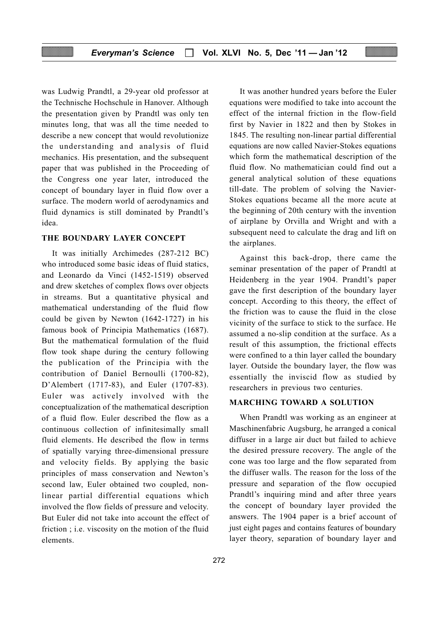was Ludwig Prandtl, a 29-year old professor at the Technische Hochschule in Hanover. Although the presentation given by Prandtl was only ten minutes long, that was all the time needed to describe a new concept that would revolutionize the understanding and analysis of fluid mechanics. His presentation, and the subsequent paper that was published in the Proceeding of the Congress one year later, introduced the concept of boundary layer in fluid flow over a surface. The modern world of aerodynamics and fluid dynamics is still dominated by Prandtl's idea.

#### THE BOUNDARY LAYER CONCEPT

It was initially Archimedes (287-212 BC) who introduced some basic ideas of fluid statics, and Leonardo da Vinci (1452-1519) observed and drew sketches of complex flows over objects in streams. But a quantitative physical and mathematical understanding of the fluid flow could be given by Newton (1642-1727) in his famous book of Principia Mathematics (1687). But the mathematical formulation of the fluid flow took shape during the century following the publication of the Principia with the contribution of Daniel Bernoulli (1700-82), D'Alembert (1717-83), and Euler (1707-83). Euler was actively involved with the conceptualization of the mathematical description of a fluid flow. Euler described the flow as a continuous collection of infinitesimally small fluid elements. He described the flow in terms of spatially varying three-dimensional pressure and velocity fields. By applying the basic principles of mass conservation and Newton's second law, Euler obtained two coupled, nonlinear partial differential equations which involved the flow fields of pressure and velocity. But Euler did not take into account the effect of friction ; i.e. viscosity on the motion of the fluid elements.

It was another hundred years before the Euler equations were modified to take into account the effect of the internal friction in the flow-field first by Navier in 1822 and then by Stokes in 1845. The resulting non-linear partial differential equations are now called Navier-Stokes equations which form the mathematical description of the fluid flow. No mathematician could find out a general analytical solution of these equations till-date. The problem of solving the Navier-Stokes equations became all the more acute at the beginning of 20th century with the invention of airplane by Orvilla and Wright and with a subsequent need to calculate the drag and lift on the airplanes.

Against this back-drop, there came the seminar presentation of the paper of Prandtl at Heidenberg in the year 1904. Prandtl's paper gave the first description of the boundary layer concept. According to this theory, the effect of the friction was to cause the fluid in the close vicinity of the surface to stick to the surface. He assumed a no-slip condition at the surface. As a result of this assumption, the frictional effects were confined to a thin layer called the boundary layer. Outside the boundary layer, the flow was essentially the inviscid flow as studied by researchers in previous two centuries.

#### MARCHING TOWARD A SOLUTION

When Prandtl was working as an engineer at Maschinenfabric Augsburg, he arranged a conical diffuser in a large air duct but failed to achieve the desired pressure recovery. The angle of the cone was too large and the flow separated from the diffuser walls. The reason for the loss of the pressure and separation of the flow occupied Prandtl's inquiring mind and after three years the concept of boundary layer provided the answers. The 1904 paper is a brief account of just eight pages and contains features of boundary layer theory, separation of boundary layer and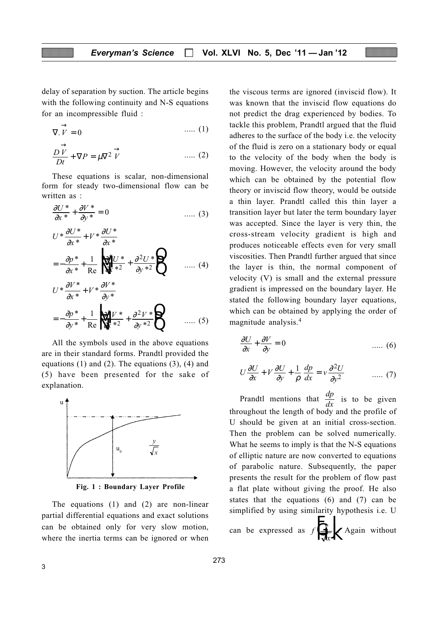delay of separation by suction. The article begins with the following continuity and N-S equations for an incompressible fluid :

$$
\nabla. \vec{V} = 0 \qquad \qquad \dots (1)
$$

$$
\frac{D\overrightarrow{V}}{Dt} + \nabla P = \mu \nabla^2 \overrightarrow{V} \qquad \qquad \dots (2)
$$

These equations is scalar, non-dimensional form for steady two-dimensional flow can be written as :

$$
\frac{\partial U^*}{\partial x^*} + \frac{\partial V^*}{\partial y^*} = 0 \qquad \qquad \dots \tag{3}
$$

$$
U^* \frac{\partial U^*}{\partial x^*} + V^* \frac{\partial U^*}{\partial x^*}
$$
  
=  $-\frac{\partial p^*}{\partial x^*} + \frac{1}{\text{Re}} \left\{ \frac{p^2 U^*}{\partial x^*^2} + \frac{\partial^2 U^*}{\partial y^*^2} \right\}$  ..... (4)

$$
U^* \frac{\partial V^*}{\partial x^*} + V^* \frac{\partial V^*}{\partial y^*}
$$
  
=  $-\frac{\partial p^*}{\partial y^*} + \frac{1}{\text{Re}} \left\{ \frac{\partial^2 V^*}{\partial x^*^2} + \frac{\partial^2 V^*}{\partial y^*^2} \right\}$  ..... (5)

All the symbols used in the above equations are in their standard forms. Prandtl provided the equations  $(1)$  and  $(2)$ . The equations  $(3)$ ,  $(4)$  and (5) have been presented for the sake of explanation.



Fig. 1 : Boundary Layer Profile

The equations (1) and (2) are non-linear partial differential equations and exact solutions can be obtained only for very slow motion, where the inertia terms can be ignored or when the viscous terms are ignored (inviscid flow). It was known that the inviscid flow equations do not predict the drag experienced by bodies. To tackle this problem, Prandtl argued that the fluid adheres to the surface of the body i.e. the velocity of the fluid is zero on a stationary body or equal to the velocity of the body when the body is moving. However, the velocity around the body which can be obtained by the potential flow theory or inviscid flow theory, would be outside a thin layer. Prandtl called this thin layer a transition layer but later the term boundary layer was accepted. Since the layer is very thin, the cross-stream velocity gradient is high and produces noticeable effects even for very small viscosities. Then Prandtl further argued that since the layer is thin, the normal component of velocity (V) is small and the external pressure gradient is impressed on the boundary layer. He stated the following boundary layer equations, which can be obtained by applying the order of magnitude analysis.<sup>4</sup>

$$
\frac{\partial U}{\partial x} + \frac{\partial V}{\partial y} = 0 \qquad \qquad \dots \tag{6}
$$

$$
U\frac{\partial U}{\partial x} + V\frac{\partial U}{\partial y} + \frac{1}{\rho}\frac{dp}{dx} = v\frac{\partial^2 U}{\partial y^2} \qquad \qquad \dots \tag{7}
$$

Prandtl mentions that  $\frac{dp}{dx}$  is to be given throughout the length of body and the profile of U should be given at an initial cross-section. Then the problem can be solved numerically. What he seems to imply is that the N-S equations of elliptic nature are now converted to equations of parabolic nature. Subsequently, the paper presents the result for the problem of flow past a flat plate without giving the proof. He also states that the equations (6) and (7) can be simplified by using similarity hypothesis i.e. U

can be expressed as  $f \frac{\partial y}{\partial x}$  $\left\{\n \begin{array}{c}\n y \\
y \\
\hline\n \sqrt{x}\n \end{array}\n \right\}$ . Again without F H K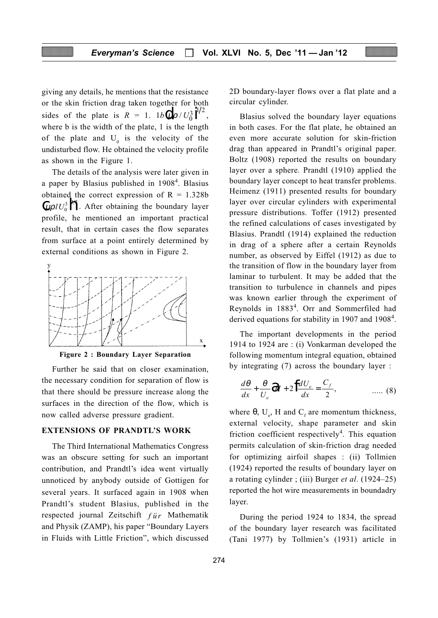giving any details, he mentions that the resistance or the skin friction drag taken together for both sides of the plate is  $R = 1$ .  $1b \left( \frac{\mu \rho}{U_0^3} \right)^{1/2}$ , where b is the width of the plate, 1 is the length of the plate and  $U_0$  is the velocity of the undisturbed flow. He obtained the velocity profile as shown in the Figure 1.

The details of the analysis were later given in a paper by Blasius published in 1908<sup>4</sup>. Blasius obtained the correct expression of  $R = 1.328b$  $\int \mu \rho l U_0^3 \mathbf{h}^{2}$ . After obtaining the boundary layer profile, he mentioned an important practical result, that in certain cases the flow separates from surface at a point entirely determined by external conditions as shown in Figure 2.



Figure 2 : Boundary Layer Separation

Further he said that on closer examination, the necessary condition for separation of flow is that there should be pressure increase along the surfaces in the direction of the flow, which is now called adverse pressure gradient.

#### EXTENSIONS OF PRANDTL'S WORK

The Third International Mathematics Congress was an obscure setting for such an important contribution, and Prandtl's idea went virtually unnoticed by anybody outside of Gottigen for several years. It surfaced again in 1908 when Prandtl's student Blasius, published in the respected journal Zeitschift  $f \ddot{u} r$  Mathematik and Physik (ZAMP), his paper "Boundary Layers in Fluids with Little Friction", which discussed 2D boundary-layer flows over a flat plate and a circular cylinder.

Blasius solved the boundary layer equations in both cases. For the flat plate, he obtained an even more accurate solution for skin-friction drag than appeared in Prandtl's original paper. Boltz (1908) reported the results on boundary layer over a sphere. Prandtl (1910) applied the boundary layer concept to heat transfer problems. Heimenz (1911) presented results for boundary layer over circular cylinders with experimental pressure distributions. Toffer (1912) presented the refined calculations of cases investigated by Blasius. Prandtl (1914) explained the reduction in drag of a sphere after a certain Reynolds number, as observed by Eiffel (1912) as due to the transition of flow in the boundary layer from laminar to turbulent. It may be added that the transition to turbulence in channels and pipes was known earlier through the experiment of Reynolds in 1883<sup>4</sup>. Orr and Sommerfiled had derived equations for stability in 1907 and 1908 $4$ .

The important developments in the period 1914 to 1924 are : (i) Vonkarman developed the following momentum integral equation, obtained by integrating (7) across the boundary layer :

$$
\frac{d\theta}{dx} + \frac{\theta}{U_e} dH + 2 \int \frac{dU_e}{dx} = \frac{C_f}{2}, \qquad \qquad \dots \tag{8}
$$

where  $\theta$ , U<sub>e</sub>, H and C<sub>f</sub> are momentum thickness, external velocity, shape parameter and skin friction coefficient respectively<sup>4</sup>. This equation permits calculation of skin-friction drag needed for optimizing airfoil shapes : (ii) Tollmien (1924) reported the results of boundary layer on a rotating cylinder ; (iii) Burger et al. (1924–25) reported the hot wire measurements in boundadry layer.

During the period 1924 to 1834, the spread of the boundary layer research was facilitated (Tani 1977) by Tollmien's (1931) article in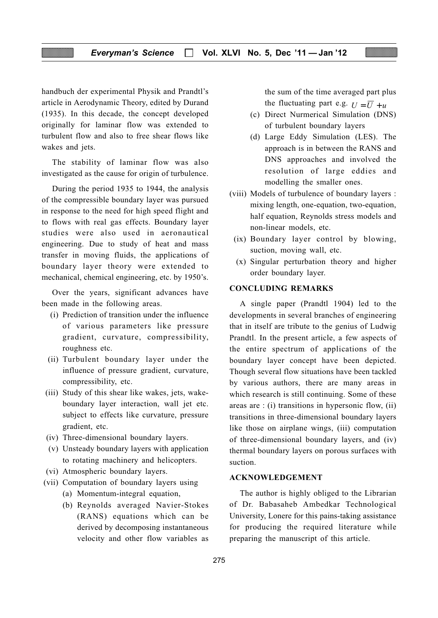handbuch der experimental Physik and Prandtl's article in Aerodynamic Theory, edited by Durand (1935). In this decade, the concept developed originally for laminar flow was extended to turbulent flow and also to free shear flows like wakes and jets.

The stability of laminar flow was also investigated as the cause for origin of turbulence.

During the period 1935 to 1944, the analysis of the compressible boundary layer was pursued in response to the need for high speed flight and to flows with real gas effects. Boundary layer studies were also used in aeronautical engineering. Due to study of heat and mass transfer in moving fluids, the applications of boundary layer theory were extended to mechanical, chemical engineering, etc. by 1950's.

Over the years, significant advances have been made in the following areas.

- (i) Prediction of transition under the influence of various parameters like pressure gradient, curvature, compressibility, roughness etc.
- (ii) Turbulent boundary layer under the influence of pressure gradient, curvature, compressibility, etc.
- (iii) Study of this shear like wakes, jets, wakeboundary layer interaction, wall jet etc. subject to effects like curvature, pressure gradient, etc.
- (iv) Three-dimensional boundary layers.
- (v) Unsteady boundary layers with application to rotating machinery and helicopters.
- (vi) Atmospheric boundary layers.
- (vii) Computation of boundary layers using
	- (a) Momentum-integral equation,
	- (b) Reynolds averaged Navier-Stokes (RANS) equations which can be derived by decomposing instantaneous velocity and other flow variables as

the sum of the time averaged part plus the fluctuating part e.g.  $U = \overline{U} + u$ 

- (c) Direct Nurmerical Simulation (DNS) of turbulent boundary layers
- (d) Large Eddy Simulation (LES). The approach is in between the RANS and DNS approaches and involved the resolution of large eddies and modelling the smaller ones.
- (viii) Models of turbulence of boundary layers : mixing length, one-equation, two-equation, half equation, Reynolds stress models and non-linear models, etc.
- (ix) Boundary layer control by blowing, suction, moving wall, etc.
- (x) Singular perturbation theory and higher order boundary layer.

#### CONCLUDING REMARKS

A single paper (Prandtl 1904) led to the developments in several branches of engineering that in itself are tribute to the genius of Ludwig Prandtl. In the present article, a few aspects of the entire spectrum of applications of the boundary layer concept have been depicted. Though several flow situations have been tackled by various authors, there are many areas in which research is still continuing. Some of these areas are : (i) transitions in hypersonic flow, (ii) transitions in three-dimensional boundary layers like those on airplane wings, (iii) computation of three-dimensional boundary layers, and (iv) thermal boundary layers on porous surfaces with suction.

#### ACKNOWLEDGEMENT

The author is highly obliged to the Librarian of Dr. Babasaheb Ambedkar Technological University, Lonere for this pains-taking assistance for producing the required literature while preparing the manuscript of this article.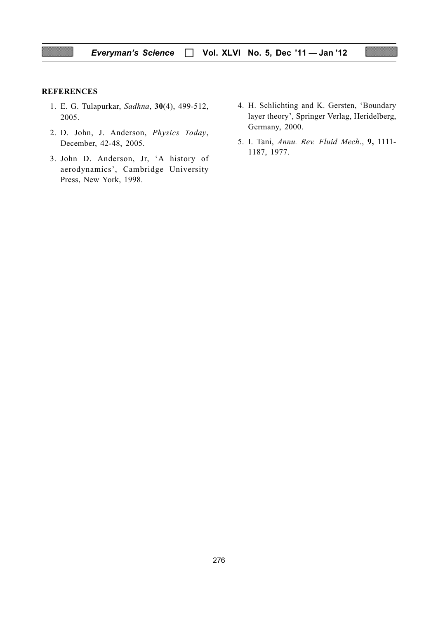#### **REFERENCES**

- 1. E. G. Tulapurkar, Sadhna, 30(4), 499-512, 2005.
- 2. D. John, J. Anderson, Physics Today, December, 42-48, 2005.
- 3. John D. Anderson, Jr, 'A history of aerodynamics', Cambridge University Press, New York, 1998.
- 4. H. Schlichting and K. Gersten, 'Boundary layer theory', Springer Verlag, Heridelberg, Germany, 2000.
- 5. I. Tani, Annu. Rev. Fluid Mech., 9, 1111- 1187, 1977.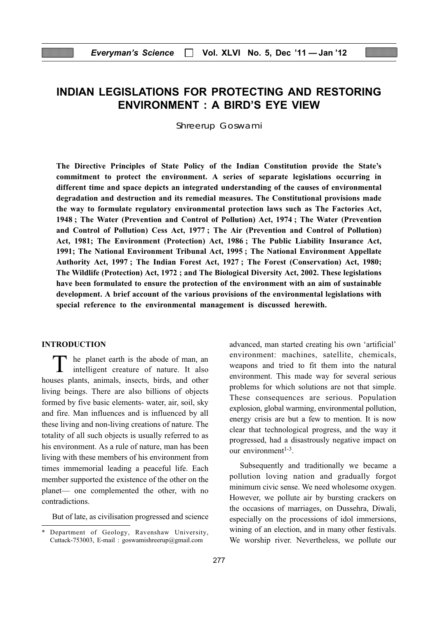# INDIAN LEGISLATIONS FOR PROTECTING AND RESTORING ENVIRONMENT : A BIRD'S EYE VIEW

Shreerup Goswami

The Directive Principles of State Policy of the Indian Constitution provide the State's commitment to protect the environment. A series of separate legislations occurring in different time and space depicts an integrated understanding of the causes of environmental degradation and destruction and its remedial measures. The Constitutional provisions made the way to formulate regulatory environmental protection laws such as The Factories Act, 1948 ; The Water (Prevention and Control of Pollution) Act, 1974 ; The Water (Prevention and Control of Pollution) Cess Act, 1977 ; The Air (Prevention and Control of Pollution) Act, 1981; The Environment (Protection) Act, 1986 ; The Public Liability Insurance Act, 1991; The National Environment Tribunal Act, 1995 ; The National Environment Appellate Authority Act, 1997 ; The Indian Forest Act, 1927 ; The Forest (Conservation) Act, 1980; The Wildlife (Protection) Act, 1972 ; and The Biological Diversity Act, 2002. These legislations have been formulated to ensure the protection of the environment with an aim of sustainable development. A brief account of the various provisions of the environmental legislations with special reference to the environmental management is discussed herewith.

#### INTRODUCTION

T he planet earth is the abode of man, an intelligent creature of nature. It also houses plants, animals, insects, birds, and other living beings. There are also billions of objects formed by five basic elements- water, air, soil, sky and fire. Man influences and is influenced by all these living and non-living creations of nature. The totality of all such objects is usually referred to as his environment. As a rule of nature, man has been living with these members of his environment from times immemorial leading a peaceful life. Each member supported the existence of the other on the planet— one complemented the other, with no contradictions.

But of late, as civilisation progressed and science

advanced, man started creating his own 'artificial' environment: machines, satellite, chemicals, weapons and tried to fit them into the natural environment. This made way for several serious problems for which solutions are not that simple. These consequences are serious. Population explosion, global warming, environmental pollution, energy crisis are but a few to mention. It is now clear that technological progress, and the way it progressed, had a disastrously negative impact on our environment $1-3$ .

Subsequently and traditionally we became a pollution loving nation and gradually forgot minimum civic sense. We need wholesome oxygen. However, we pollute air by bursting crackers on the occasions of marriages, on Dussehra, Diwali, especially on the processions of idol immersions, wining of an election, and in many other festivals. We worship river. Nevertheless, we pollute our

<sup>\*</sup> Department of Geology, Ravenshaw University, Cuttack-753003, E-mail : goswamishreerup@gmail.com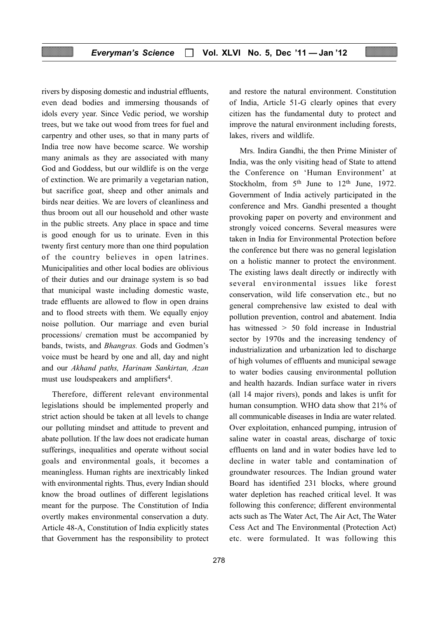rivers by disposing domestic and industrial effluents, even dead bodies and immersing thousands of idols every year. Since Vedic period, we worship trees, but we take out wood from trees for fuel and carpentry and other uses, so that in many parts of India tree now have become scarce. We worship many animals as they are associated with many God and Goddess, but our wildlife is on the verge of extinction. We are primarily a vegetarian nation, but sacrifice goat, sheep and other animals and birds near deities. We are lovers of cleanliness and thus broom out all our household and other waste in the public streets. Any place in space and time is good enough for us to urinate. Even in this twenty first century more than one third population of the country believes in open latrines. Municipalities and other local bodies are oblivious of their duties and our drainage system is so bad that municipal waste including domestic waste, trade effluents are allowed to flow in open drains and to flood streets with them. We equally enjoy noise pollution. Our marriage and even burial processions/ cremation must be accompanied by bands, twists, and Bhangras. Gods and Godmen's voice must be heard by one and all, day and night and our Akhand paths, Harinam Sankirtan, Azan must use loudspeakers and amplifiers<sup>4</sup>.

Therefore, different relevant environmental legislations should be implemented properly and strict action should be taken at all levels to change our polluting mindset and attitude to prevent and abate pollution. If the law does not eradicate human sufferings, inequalities and operate without social goals and environmental goals, it becomes a meaningless. Human rights are inextricably linked with environmental rights. Thus, every Indian should know the broad outlines of different legislations meant for the purpose. The Constitution of India overtly makes environmental conservation a duty. Article 48-A, Constitution of India explicitly states that Government has the responsibility to protect

278

and restore the natural environment. Constitution of India, Article 51-G clearly opines that every citizen has the fundamental duty to protect and improve the natural environment including forests, lakes, rivers and wildlife.

Mrs. Indira Gandhi, the then Prime Minister of India, was the only visiting head of State to attend the Conference on 'Human Environment' at Stockholm, from  $5<sup>th</sup>$  June to  $12<sup>th</sup>$  June, 1972. Government of India actively participated in the conference and Mrs. Gandhi presented a thought provoking paper on poverty and environment and strongly voiced concerns. Several measures were taken in India for Environmental Protection before the conference but there was no general legislation on a holistic manner to protect the environment. The existing laws dealt directly or indirectly with several environmental issues like forest conservation, wild life conservation etc., but no general comprehensive law existed to deal with pollution prevention, control and abatement. India has witnessed > 50 fold increase in Industrial sector by 1970s and the increasing tendency of industrialization and urbanization led to discharge of high volumes of effluents and municipal sewage to water bodies causing environmental pollution and health hazards. Indian surface water in rivers (all 14 major rivers), ponds and lakes is unfit for human consumption. WHO data show that 21% of all communicable diseases in India are water related. Over exploitation, enhanced pumping, intrusion of saline water in coastal areas, discharge of toxic effluents on land and in water bodies have led to decline in water table and contamination of groundwater resources. The Indian ground water Board has identified 231 blocks, where ground water depletion has reached critical level. It was following this conference; different environmental acts such as The Water Act, The Air Act, The Water Cess Act and The Environmental (Protection Act) etc. were formulated. It was following this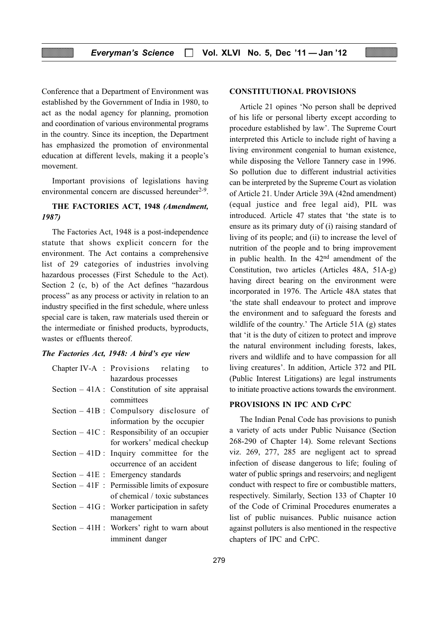Conference that a Department of Environment was established by the Government of India in 1980, to act as the nodal agency for planning, promotion and coordination of various environmental programs in the country. Since its inception, the Department has emphasized the promotion of environmental education at different levels, making it a people's movement.

Important provisions of legislations having environmental concern are discussed hereunder $2-9$ .

#### THE FACTORIES ACT, 1948 (Amendment, 1987)

The Factories Act, 1948 is a post-independence statute that shows explicit concern for the environment. The Act contains a comprehensive list of 29 categories of industries involving hazardous processes (First Schedule to the Act). Section 2 (c, b) of the Act defines "hazardous process" as any process or activity in relation to an industry specified in the first schedule, where unless special care is taken, raw materials used therein or the intermediate or finished products, byproducts, wastes or effluents thereof.

#### The Factories Act, 1948: A bird's eye view

| Chapter IV-A : Provisions relating<br>to        |  |
|-------------------------------------------------|--|
| hazardous processes                             |  |
| Section $-41A$ : Constitution of site appraisal |  |
| committees                                      |  |
| Section $-41B$ : Compulsory disclosure of       |  |
| information by the occupier                     |  |
| Section $-41C$ : Responsibility of an occupier  |  |
| for workers' medical checkup                    |  |
| Section $-41D$ : Inquiry committee for the      |  |
| occurrence of an accident                       |  |
| Section $-41E$ : Emergency standards            |  |
| Section $-41F$ : Permissible limits of exposure |  |
| of chemical / toxic substances                  |  |
| Section $-41G$ : Worker participation in safety |  |
| management                                      |  |
| Section $-41H$ : Workers' right to warn about   |  |
| imminent danger                                 |  |

#### CONSTITUTIONAL PROVISIONS

Article 21 opines 'No person shall be deprived of his life or personal liberty except according to procedure established by law'. The Supreme Court interpreted this Article to include right of having a living environment congenial to human existence, while disposing the Vellore Tannery case in 1996. So pollution due to different industrial activities can be interpreted by the Supreme Court as violation of Article 21. Under Article 39A (42nd amendment) (equal justice and free legal aid), PIL was introduced. Article 47 states that 'the state is to ensure as its primary duty of (i) raising standard of living of its people; and (ii) to increase the level of nutrition of the people and to bring improvement in public health. In the 42nd amendment of the Constitution, two articles (Articles 48A, 51A-g) having direct bearing on the environment were incorporated in 1976. The Article 48A states that 'the state shall endeavour to protect and improve the environment and to safeguard the forests and wildlife of the country.' The Article 51A (g) states that 'it is the duty of citizen to protect and improve the natural environment including forests, lakes, rivers and wildlife and to have compassion for all living creatures'. In addition, Article 372 and PIL (Public Interest Litigations) are legal instruments to initiate proactive actions towards the environment.

#### PROVISIONS IN IPC AND CrPC

The Indian Penal Code has provisions to punish a variety of acts under Public Nuisance (Section 268-290 of Chapter 14). Some relevant Sections viz. 269, 277, 285 are negligent act to spread infection of disease dangerous to life; fouling of water of public springs and reservoirs; and negligent conduct with respect to fire or combustible matters, respectively. Similarly, Section 133 of Chapter 10 of the Code of Criminal Procedures enumerates a list of public nuisances. Public nuisance action against polluters is also mentioned in the respective chapters of IPC and CrPC.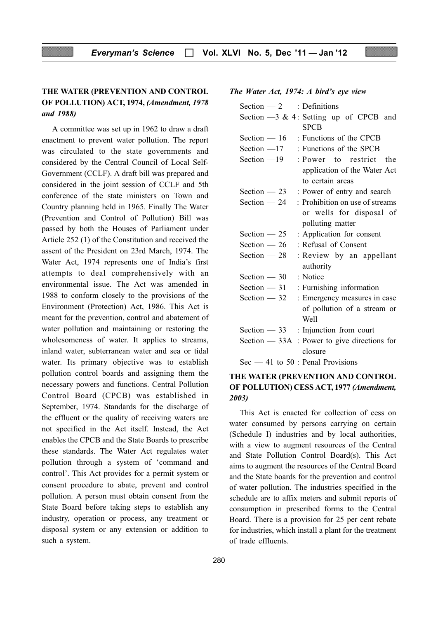# THE WATER (PREVENTION AND CONTROL OF POLLUTION) ACT, 1974, (Amendment, 1978 and 1988)

A committee was set up in 1962 to draw a draft enactment to prevent water pollution. The report was circulated to the state governments and considered by the Central Council of Local Self-Government (CCLF). A draft bill was prepared and considered in the joint session of CCLF and 5th conference of the state ministers on Town and Country planning held in 1965. Finally The Water (Prevention and Control of Pollution) Bill was passed by both the Houses of Parliament under Article 252 (1) of the Constitution and received the assent of the President on 23rd March, 1974. The Water Act, 1974 represents one of India's first attempts to deal comprehensively with an environmental issue. The Act was amended in 1988 to conform closely to the provisions of the Environment (Protection) Act, 1986. This Act is meant for the prevention, control and abatement of water pollution and maintaining or restoring the wholesomeness of water. It applies to streams, inland water, subterranean water and sea or tidal water. Its primary objective was to establish pollution control boards and assigning them the necessary powers and functions. Central Pollution Control Board (CPCB) was established in September, 1974. Standards for the discharge of the effluent or the quality of receiving waters are not specified in the Act itself. Instead, the Act enables the CPCB and the State Boards to prescribe these standards. The Water Act regulates water pollution through a system of 'command and control'. This Act provides for a permit system or consent procedure to abate, prevent and control pollution. A person must obtain consent from the State Board before taking steps to establish any industry, operation or process, any treatment or disposal system or any extension or addition to such a system.

#### Section  $-3 \& 4$ : Setting up of CPCB and

Section  $-2$  : Definitions

The Water Act, 1974: A bird's eye view

|               | <b>SPCB</b>                                    |
|---------------|------------------------------------------------|
| Section $-16$ | : Functions of the CPCB                        |
| Section $-17$ | : Functions of the SPCB                        |
| Section $-19$ | : Power to restrict the                        |
|               | application of the Water Act                   |
|               | to certain areas                               |
| Section $-23$ | : Power of entry and search                    |
| Section $-24$ | : Prohibition on use of streams                |
|               | or wells for disposal of                       |
|               | polluting matter                               |
| Section $-25$ | : Application for consent                      |
| Section $-26$ | : Refusal of Consent                           |
| Section $-28$ | : Review by an appellant                       |
|               | authority                                      |
| Section $-30$ | : Notice                                       |
| Section $-31$ | : Furnishing information                       |
| Section $-32$ | : Emergency measures in case                   |
|               | of pollution of a stream or                    |
|               | Well                                           |
| Section $-33$ | : Injunction from court                        |
|               | Section $-$ 33A : Power to give directions for |
|               | closure                                        |
|               | $\text{Sec} - 41$ to $50$ : Penal Provisions   |

## THE WATER (PREVENTION AND CONTROL OF POLLUTION) CESS ACT, 1977 (Amendment, 2003)

This Act is enacted for collection of cess on water consumed by persons carrying on certain (Schedule I) industries and by local authorities, with a view to augment resources of the Central and State Pollution Control Board(s). This Act aims to augment the resources of the Central Board and the State boards for the prevention and control of water pollution. The industries specified in the schedule are to affix meters and submit reports of consumption in prescribed forms to the Central Board. There is a provision for 25 per cent rebate for industries, which install a plant for the treatment of trade effluents.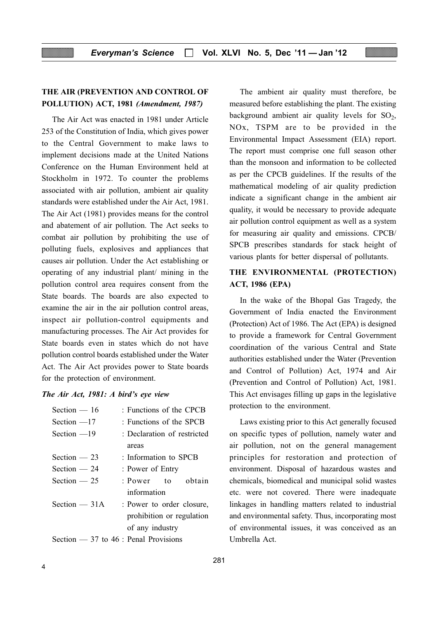# THE AIR (PREVENTION AND CONTROL OF POLLUTION) ACT, 1981 (Amendment, 1987)

The Air Act was enacted in 1981 under Article 253 of the Constitution of India, which gives power to the Central Government to make laws to implement decisions made at the United Nations Conference on the Human Environment held at Stockholm in 1972. To counter the problems associated with air pollution, ambient air quality standards were established under the Air Act, 1981. The Air Act (1981) provides means for the control and abatement of air pollution. The Act seeks to combat air pollution by prohibiting the use of polluting fuels, explosives and appliances that causes air pollution. Under the Act establishing or operating of any industrial plant/ mining in the pollution control area requires consent from the State boards. The boards are also expected to examine the air in the air pollution control areas, inspect air pollution-control equipments and manufacturing processes. The Air Act provides for State boards even in states which do not have pollution control boards established under the Water Act. The Air Act provides power to State boards for the protection of environment.

#### The Air Act, 1981: A bird's eye view

| Section $-16$                          | : Functions of the CPCB     |
|----------------------------------------|-----------------------------|
| Section $-17$                          | : Functions of the SPCB     |
| Section $-19$                          | : Declaration of restricted |
|                                        | areas                       |
| Section $-23$                          | : Information to SPCB       |
| Section $-24$                          | : Power of Entry            |
| Section $-25$                          | : Power to obtain           |
|                                        | information                 |
| Section $-31A$                         | : Power to order closure,   |
|                                        | prohibition or regulation   |
|                                        | of any industry             |
| Section $-37$ to 46 : Penal Provisions |                             |

The ambient air quality must therefore, be measured before establishing the plant. The existing background ambient air quality levels for  $SO<sub>2</sub>$ , NOx, TSPM are to be provided in the Environmental Impact Assessment (EIA) report. The report must comprise one full season other than the monsoon and information to be collected as per the CPCB guidelines. If the results of the mathematical modeling of air quality prediction indicate a significant change in the ambient air quality, it would be necessary to provide adequate air pollution control equipment as well as a system for measuring air quality and emissions. CPCB/ SPCB prescribes standards for stack height of various plants for better dispersal of pollutants.

# THE ENVIRONMENTAL (PROTECTION) ACT, 1986 (EPA)

In the wake of the Bhopal Gas Tragedy, the Government of India enacted the Environment (Protection) Act of 1986. The Act (EPA) is designed to provide a framework for Central Government coordination of the various Central and State authorities established under the Water (Prevention and Control of Pollution) Act, 1974 and Air (Prevention and Control of Pollution) Act, 1981. This Act envisages filling up gaps in the legislative protection to the environment.

Laws existing prior to this Act generally focused on specific types of pollution, namely water and air pollution, not on the general management principles for restoration and protection of environment. Disposal of hazardous wastes and chemicals, biomedical and municipal solid wastes etc. were not covered. There were inadequate linkages in handling matters related to industrial and environmental safety. Thus, incorporating most of environmental issues, it was conceived as an Umbrella Act.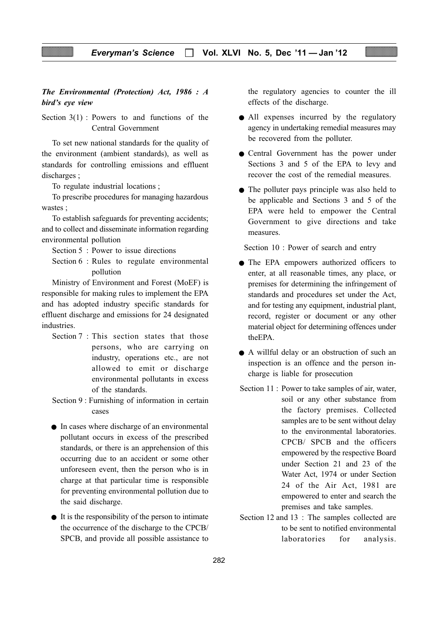## The Environmental (Protection) Act, 1986 : A bird's eye view

Section  $3(1)$ : Powers to and functions of the Central Government

To set new national standards for the quality of the environment (ambient standards), as well as standards for controlling emissions and effluent discharges ;

To regulate industrial locations ;

To prescribe procedures for managing hazardous wastes ;

To establish safeguards for preventing accidents; and to collect and disseminate information regarding environmental pollution

Section 5 : Power to issue directions

Section 6 : Rules to regulate environmental pollution

Ministry of Environment and Forest (MoEF) is responsible for making rules to implement the EPA and has adopted industry specific standards for effluent discharge and emissions for 24 designated industries.

- Section 7 : This section states that those persons, who are carrying on industry, operations etc., are not allowed to emit or discharge environmental pollutants in excess of the standards.
- Section 9 : Furnishing of information in certain cases
- In cases where discharge of an environmental pollutant occurs in excess of the prescribed standards, or there is an apprehension of this occurring due to an accident or some other unforeseen event, then the person who is in charge at that particular time is responsible for preventing environmental pollution due to the said discharge.
- It is the responsibility of the person to intimate the occurrence of the discharge to the CPCB/ SPCB, and provide all possible assistance to

the regulatory agencies to counter the ill effects of the discharge.

- All expenses incurred by the regulatory agency in undertaking remedial measures may be recovered from the polluter.
- Central Government has the power under Sections 3 and 5 of the EPA to levy and recover the cost of the remedial measures.
- The polluter pays principle was also held to be applicable and Sections 3 and 5 of the EPA were held to empower the Central Government to give directions and take measures.

Section 10 : Power of search and entry

- The EPA empowers authorized officers to enter, at all reasonable times, any place, or premises for determining the infringement of standards and procedures set under the Act, and for testing any equipment, industrial plant, record, register or document or any other material object for determining offences under theEPA.
- A willful delay or an obstruction of such an inspection is an offence and the person incharge is liable for prosecution
- Section 11 : Power to take samples of air, water, soil or any other substance from the factory premises. Collected samples are to be sent without delay to the environmental laboratories. CPCB/ SPCB and the officers empowered by the respective Board under Section 21 and 23 of the Water Act, 1974 or under Section 24 of the Air Act, 1981 are empowered to enter and search the premises and take samples.
- Section 12 and 13 : The samples collected are to be sent to notified environmental laboratories for analysis.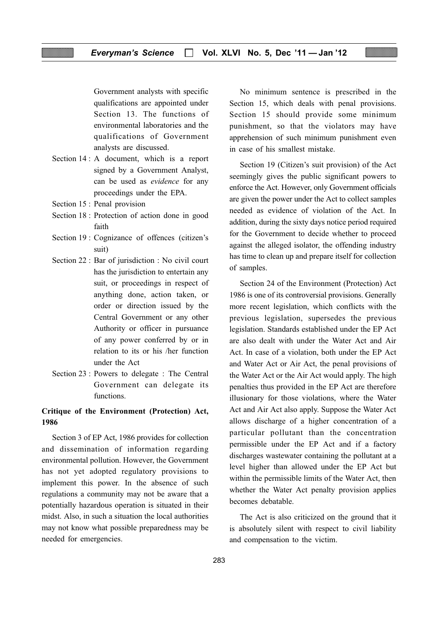Government analysts with specific qualifications are appointed under Section 13. The functions of environmental laboratories and the qualifications of Government analysts are discussed.

- Section 14 : A document, which is a report signed by a Government Analyst, can be used as evidence for any proceedings under the EPA.
- Section 15 : Penal provision
- Section 18 : Protection of action done in good faith
- Section 19 : Cognizance of offences (citizen's suit)
- Section 22 : Bar of jurisdiction : No civil court has the jurisdiction to entertain any suit, or proceedings in respect of anything done, action taken, or order or direction issued by the Central Government or any other Authority or officer in pursuance of any power conferred by or in relation to its or his /her function under the Act
- Section 23 : Powers to delegate : The Central Government can delegate its functions.

### Critique of the Environment (Protection) Act, 1986

Section 3 of EP Act, 1986 provides for collection and dissemination of information regarding environmental pollution. However, the Government has not yet adopted regulatory provisions to implement this power. In the absence of such regulations a community may not be aware that a potentially hazardous operation is situated in their midst. Also, in such a situation the local authorities may not know what possible preparedness may be needed for emergencies.

No minimum sentence is prescribed in the Section 15, which deals with penal provisions. Section 15 should provide some minimum punishment, so that the violators may have apprehension of such minimum punishment even in case of his smallest mistake.

Section 19 (Citizen's suit provision) of the Act seemingly gives the public significant powers to enforce the Act. However, only Government officials are given the power under the Act to collect samples needed as evidence of violation of the Act. In addition, during the sixty days notice period required for the Government to decide whether to proceed against the alleged isolator, the offending industry has time to clean up and prepare itself for collection of samples.

Section 24 of the Environment (Protection) Act 1986 is one of its controversial provisions. Generally more recent legislation, which conflicts with the previous legislation, supersedes the previous legislation. Standards established under the EP Act are also dealt with under the Water Act and Air Act. In case of a violation, both under the EP Act and Water Act or Air Act, the penal provisions of the Water Act or the Air Act would apply. The high penalties thus provided in the EP Act are therefore illusionary for those violations, where the Water Act and Air Act also apply. Suppose the Water Act allows discharge of a higher concentration of a particular pollutant than the concentration permissible under the EP Act and if a factory discharges wastewater containing the pollutant at a level higher than allowed under the EP Act but within the permissible limits of the Water Act, then whether the Water Act penalty provision applies becomes debatable.

The Act is also criticized on the ground that it is absolutely silent with respect to civil liability and compensation to the victim.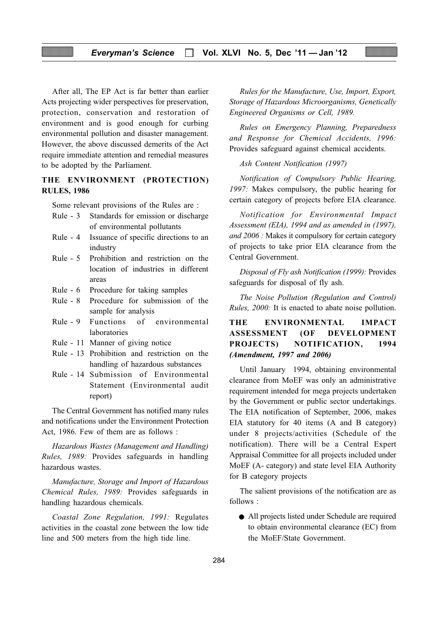### Everyman's Science  $\Box$  Vol. XLVI No. 5, Dec '11 - Jan '12

After all, The EP Act is far better than earlier Acts projecting wider perspectives for preservation, protection, conservation and restoration of environment and is good enough for curbing environmental pollution and disaster management. However, the above discussed demerits of the Act require immediate attention and remedial measures to be adopted by the Parliament.

## THE ENVIRONMENT (PROTECTION) RULES, 1986

Some relevant provisions of the Rules are :

- Rule 3 Standards for emission or discharge of environmental pollutants
- Rule 4 Issuance of specific directions to an industry
- Rule 5 Prohibition and restriction on the location of industries in different areas
- Rule 6 Procedure for taking samples
- Rule 8 Procedure for submission of the sample for analysis
- Rule 9 Functions of environmental laboratories
- Rule 11 Manner of giving notice
- Rule 13 Prohibition and restriction on the handling of hazardous substances
- Rule 14 Submission of Environmental Statement (Environmental audit report)

The Central Government has notified many rules and notifications under the Environment Protection Act, 1986. Few of them are as follows :

Hazardous Wastes (Management and Handling) Rules, 1989: Provides safeguards in handling hazardous wastes.

Manufacture, Storage and Import of Hazardous Chemical Rules, 1989: Provides safeguards in handling hazardous chemicals.

Coastal Zone Regulation, 1991: Regulates activities in the coastal zone between the low tide line and 500 meters from the high tide line.

Rules for the Manufacture, Use, Import, Export, Storage of Hazardous Microorganisms, Genetically Engineered Organisms or Cell, 1989.

Rules on Emergency Planning, Preparedness and Response for Chemical Accidents, 1996: Provides safeguard against chemical accidents.

Ash Content Notification (1997)

Notification of Compulsory Public Hearing, 1997: Makes compulsory, the public hearing for certain category of projects before EIA clearance.

Notification for Environmental Impact Assessment (EIA), 1994 and as amended in (1997), and 2006 : Makes it compulsory for certain category of projects to take prior EIA clearance from the Central Government.

Disposal of Fly ash Notification (1999): Provides safeguards for disposal of fly ash.

The Noise Pollution (Regulation and Control) Rules, 2000: It is enacted to abate noise pollution.

# THE ENVIRONMENTAL IMPACT ASSESSMENT (OF DEVELOPMENT PROJECTS) NOTIFICATION, 1994 (Amendment, 1997 and 2006)

Until January 1994, obtaining environmental clearance from MoEF was only an administrative requirement intended for mega projects undertaken by the Government or public sector undertakings. The EIA notification of September, 2006, makes EIA statutory for 40 items (A and B category) under 8 projects/activities (Schedule of the notification). There will be a Central Expert Appraisal Committee for all projects included under MoEF (A- category) and state level EIA Authority for B category projects

The salient provisions of the notification are as follows :

● All projects listed under Schedule are required to obtain environmental clearance (EC) from the MoEF/State Government.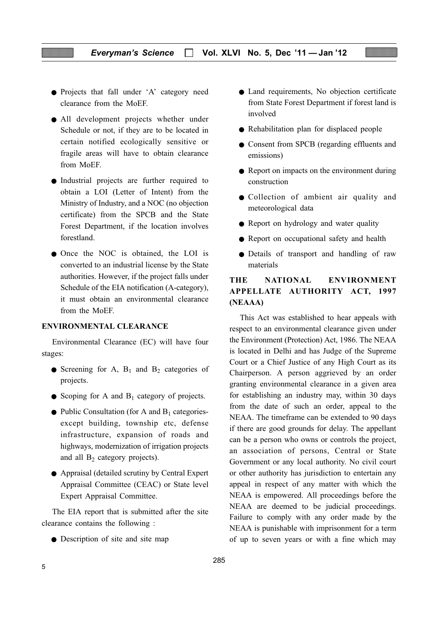- Projects that fall under 'A' category need clearance from the MoEF.
- All development projects whether under Schedule or not, if they are to be located in certain notified ecologically sensitive or fragile areas will have to obtain clearance from MoEF.
- Industrial projects are further required to obtain a LOI (Letter of Intent) from the Ministry of Industry, and a NOC (no objection certificate) from the SPCB and the State Forest Department, if the location involves forestland.
- Once the NOC is obtained, the LOI is converted to an industrial license by the State authorities. However, if the project falls under Schedule of the EIA notification (A-category), it must obtain an environmental clearance from the MoEF.

#### ENVIRONMENTAL CLEARANCE

Environmental Clearance (EC) will have four stages:

- Screening for A,  $B_1$  and  $B_2$  categories of projects.
- Scoping for A and  $B_1$  category of projects.
- $\bullet$  Public Consultation (for A and B<sub>1</sub> categoriesexcept building, township etc, defense infrastructure, expansion of roads and highways, modernization of irrigation projects and all  $B_2$  category projects).
- Appraisal (detailed scrutiny by Central Expert Appraisal Committee (CEAC) or State level Expert Appraisal Committee.

The EIA report that is submitted after the site clearance contains the following :

• Description of site and site map

- Land requirements, No objection certificate from State Forest Department if forest land is involved
- Rehabilitation plan for displaced people
- Consent from SPCB (regarding effluents and emissions)
- Report on impacts on the environment during construction
- Collection of ambient air quality and meteorological data
- Report on hydrology and water quality
- Report on occupational safety and health
- Details of transport and handling of raw materials

# THE NATIONAL ENVIRONMENT APPELLATE AUTHORITY ACT, 1997 (NEAAA)

This Act was established to hear appeals with respect to an environmental clearance given under the Environment (Protection) Act, 1986. The NEAA is located in Delhi and has Judge of the Supreme Court or a Chief Justice of any High Court as its Chairperson. A person aggrieved by an order granting environmental clearance in a given area for establishing an industry may, within 30 days from the date of such an order, appeal to the NEAA. The timeframe can be extended to 90 days if there are good grounds for delay. The appellant can be a person who owns or controls the project, an association of persons, Central or State Government or any local authority. No civil court or other authority has jurisdiction to entertain any appeal in respect of any matter with which the NEAA is empowered. All proceedings before the NEAA are deemed to be judicial proceedings. Failure to comply with any order made by the NEAA is punishable with imprisonment for a term of up to seven years or with a fine which may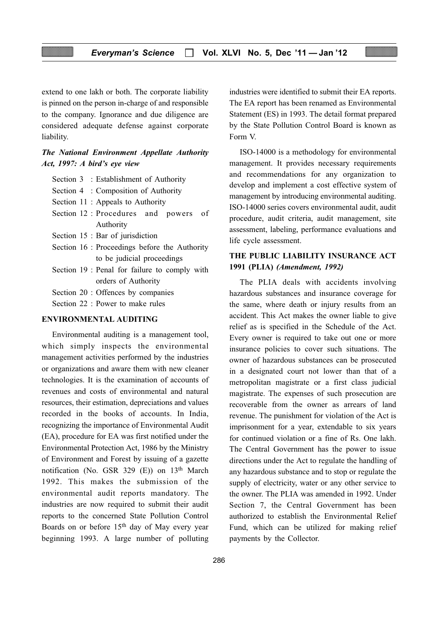extend to one lakh or both. The corporate liability is pinned on the person in-charge of and responsible to the company. Ignorance and due diligence are considered adequate defense against corporate liability.

### The National Environment Appellate Authority Act, 1997: A bird's eye view

- Section 3 : Establishment of Authority
- Section 4 : Composition of Authority
- Section 11 : Appeals to Authority
- Section 12 : Procedures and powers of Authority
- Section 15 : Bar of jurisdiction
- Section 16 : Proceedings before the Authority to be judicial proceedings
- Section 19 : Penal for failure to comply with orders of Authority
- Section 20 : Offences by companies
- Section 22 : Power to make rules

#### ENVIRONMENTAL AUDITING

Environmental auditing is a management tool, which simply inspects the environmental management activities performed by the industries or organizations and aware them with new cleaner technologies. It is the examination of accounts of revenues and costs of environmental and natural resources, their estimation, depreciations and values recorded in the books of accounts. In India, recognizing the importance of Environmental Audit (EA), procedure for EA was first notified under the Environmental Protection Act, 1986 by the Ministry of Environment and Forest by issuing of a gazette notification (No. GSR 329  $(E)$ ) on 13<sup>th</sup> March 1992. This makes the submission of the environmental audit reports mandatory. The industries are now required to submit their audit reports to the concerned State Pollution Control Boards on or before 15th day of May every year beginning 1993. A large number of polluting

industries were identified to submit their EA reports. The EA report has been renamed as Environmental Statement (ES) in 1993. The detail format prepared by the State Pollution Control Board is known as Form V.

ISO-14000 is a methodology for environmental management. It provides necessary requirements and recommendations for any organization to develop and implement a cost effective system of management by introducing environmental auditing. ISO-14000 series covers environmental audit, audit procedure, audit criteria, audit management, site assessment, labeling, performance evaluations and life cycle assessment.

#### THE PUBLIC LIABILITY INSURANCE ACT 1991 (PLIA) (Amendment, 1992)

The PLIA deals with accidents involving hazardous substances and insurance coverage for the same, where death or injury results from an accident. This Act makes the owner liable to give relief as is specified in the Schedule of the Act. Every owner is required to take out one or more insurance policies to cover such situations. The owner of hazardous substances can be prosecuted in a designated court not lower than that of a metropolitan magistrate or a first class judicial magistrate. The expenses of such prosecution are recoverable from the owner as arrears of land revenue. The punishment for violation of the Act is imprisonment for a year, extendable to six years for continued violation or a fine of Rs. One lakh. The Central Government has the power to issue directions under the Act to regulate the handling of any hazardous substance and to stop or regulate the supply of electricity, water or any other service to the owner. The PLIA was amended in 1992. Under Section 7, the Central Government has been authorized to establish the Environmental Relief Fund, which can be utilized for making relief payments by the Collector.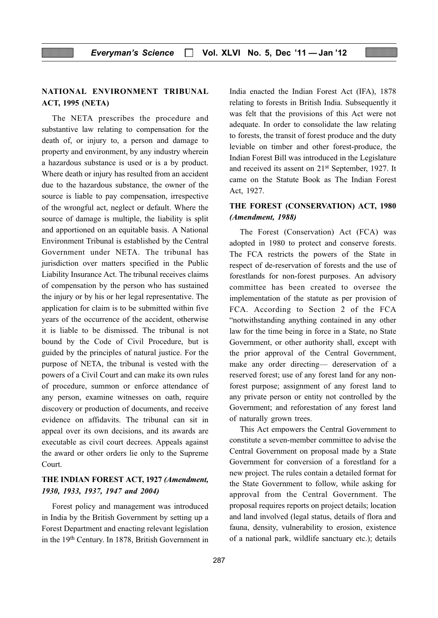# NATIONAL ENVIRONMENT TRIBUNAL ACT, 1995 (NETA)

The NETA prescribes the procedure and substantive law relating to compensation for the death of, or injury to, a person and damage to property and environment, by any industry wherein a hazardous substance is used or is a by product. Where death or injury has resulted from an accident due to the hazardous substance, the owner of the source is liable to pay compensation, irrespective of the wrongful act, neglect or default. Where the source of damage is multiple, the liability is split and apportioned on an equitable basis. A National Environment Tribunal is established by the Central Government under NETA. The tribunal has jurisdiction over matters specified in the Public Liability Insurance Act. The tribunal receives claims of compensation by the person who has sustained the injury or by his or her legal representative. The application for claim is to be submitted within five years of the occurrence of the accident, otherwise it is liable to be dismissed. The tribunal is not bound by the Code of Civil Procedure, but is guided by the principles of natural justice. For the purpose of NETA, the tribunal is vested with the powers of a Civil Court and can make its own rules of procedure, summon or enforce attendance of any person, examine witnesses on oath, require discovery or production of documents, and receive evidence on affidavits. The tribunal can sit in appeal over its own decisions, and its awards are executable as civil court decrees. Appeals against the award or other orders lie only to the Supreme Court.

# THE INDIAN FOREST ACT, 1927 (Amendment, 1930, 1933, 1937, 1947 and 2004)

Forest policy and management was introduced in India by the British Government by setting up a Forest Department and enacting relevant legislation in the 19th Century. In 1878, British Government in India enacted the Indian Forest Act (IFA), 1878 relating to forests in British India. Subsequently it was felt that the provisions of this Act were not adequate. In order to consolidate the law relating to forests, the transit of forest produce and the duty leviable on timber and other forest-produce, the Indian Forest Bill was introduced in the Legislature and received its assent on 21st September, 1927. It came on the Statute Book as The Indian Forest Act, 1927.

# THE FOREST (CONSERVATION) ACT, 1980 (Amendment, 1988)

The Forest (Conservation) Act (FCA) was adopted in 1980 to protect and conserve forests. The FCA restricts the powers of the State in respect of de-reservation of forests and the use of forestlands for non-forest purposes. An advisory committee has been created to oversee the implementation of the statute as per provision of FCA. According to Section 2 of the FCA "notwithstanding anything contained in any other law for the time being in force in a State, no State Government, or other authority shall, except with the prior approval of the Central Government, make any order directing— dereservation of a reserved forest; use of any forest land for any nonforest purpose; assignment of any forest land to any private person or entity not controlled by the Government; and reforestation of any forest land of naturally grown trees.

This Act empowers the Central Government to constitute a seven-member committee to advise the Central Government on proposal made by a State Government for conversion of a forestland for a new project. The rules contain a detailed format for the State Government to follow, while asking for approval from the Central Government. The proposal requires reports on project details; location and land involved (legal status, details of flora and fauna, density, vulnerability to erosion, existence of a national park, wildlife sanctuary etc.); details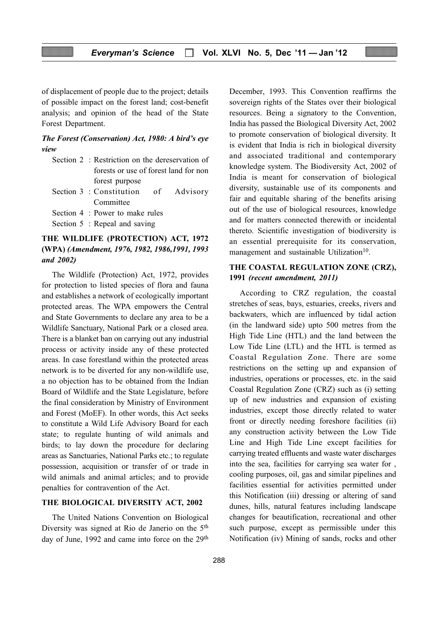of displacement of people due to the project; details of possible impact on the forest land; cost-benefit analysis; and opinion of the head of the State Forest Department.

#### The Forest (Conservation) Act, 1980: A bird's eye view

- Section 2 : Restriction on the dereservation of forests or use of forest land for non forest purpose Section 3 : Constitution of Advisory
- Committee Section 4 : Power to make rules Section 5 : Repeal and saving

# THE WILDLIFE (PROTECTION) ACT, 1972 (WPA) (Amendment, 1976, 1982, 1986,1991, 1993 and 2002)

The Wildlife (Protection) Act, 1972, provides for protection to listed species of flora and fauna and establishes a network of ecologically important protected areas. The WPA empowers the Central and State Governments to declare any area to be a Wildlife Sanctuary, National Park or a closed area. There is a blanket ban on carrying out any industrial process or activity inside any of these protected areas. In case forestland within the protected areas network is to be diverted for any non-wildlife use, a no objection has to be obtained from the Indian Board of Wildlife and the State Legislature, before the final consideration by Ministry of Environment and Forest (MoEF). In other words, this Act seeks to constitute a Wild Life Advisory Board for each state; to regulate hunting of wild animals and birds; to lay down the procedure for declaring areas as Sanctuaries, National Parks etc.; to regulate possession, acquisition or transfer of or trade in wild animals and animal articles; and to provide penalties for contravention of the Act.

#### THE BIOLOGICAL DIVERSITY ACT, 2002

The United Nations Convention on Biological Diversity was signed at Rio de Janerio on the 5th day of June, 1992 and came into force on the 29<sup>th</sup> December, 1993. This Convention reaffirms the sovereign rights of the States over their biological resources. Being a signatory to the Convention, India has passed the Biological Diversity Act, 2002 to promote conservation of biological diversity. It is evident that India is rich in biological diversity and associated traditional and contemporary knowledge system. The Biodiversity Act, 2002 of India is meant for conservation of biological diversity, sustainable use of its components and fair and equitable sharing of the benefits arising out of the use of biological resources, knowledge and for matters connected therewith or incidental thereto. Scientific investigation of biodiversity is an essential prerequisite for its conservation, management and sustainable Utilization<sup>10</sup>.

#### THE COASTAL REGULATION ZONE (CRZ), 1991 (recent amendment, 2011)

According to CRZ regulation, the coastal stretches of seas, bays, estuaries, creeks, rivers and backwaters, which are influenced by tidal action (in the landward side) upto 500 metres from the High Tide Line (HTL) and the land between the Low Tide Line (LTL) and the HTL is termed as Coastal Regulation Zone. There are some restrictions on the setting up and expansion of industries, operations or processes, etc. in the said Coastal Regulation Zone (CRZ) such as (i) setting up of new industries and expansion of existing industries, except those directly related to water front or directly needing foreshore facilities (ii) any construction activity between the Low Tide Line and High Tide Line except facilities for carrying treated effluents and waste water discharges into the sea, facilities for carrying sea water for , cooling purposes, oil, gas and similar pipelines and facilities essential for activities permitted under this Notification (iii) dressing or altering of sand dunes, hills, natural features including landscape changes for beautification, recreational and other such purpose, except as permissible under this Notification (iv) Mining of sands, rocks and other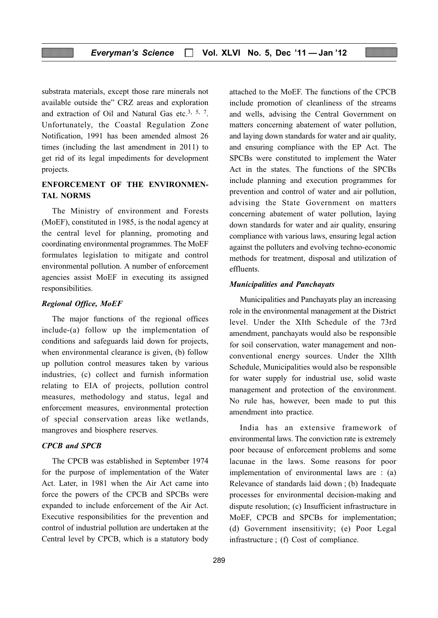substrata materials, except those rare minerals not available outside the" CRZ areas and exploration and extraction of Oil and Natural Gas etc.3, 5, 7. Unfortunately, the Coastal Regulation Zone Notification, 1991 has been amended almost 26 times (including the last amendment in 2011) to get rid of its legal impediments for development projects.

# ENFORCEMENT OF THE ENVIRONMEN-TAL NORMS

The Ministry of environment and Forests (MoEF), constituted in 1985, is the nodal agency at the central level for planning, promoting and coordinating environmental programmes. The MoEF formulates legislation to mitigate and control environmental pollution. A number of enforcement agencies assist MoEF in executing its assigned responsibilities.

#### Regional Office, MoEF

The major functions of the regional offices include-(a) follow up the implementation of conditions and safeguards laid down for projects, when environmental clearance is given, (b) follow up pollution control measures taken by various industries, (c) collect and furnish information relating to EIA of projects, pollution control measures, methodology and status, legal and enforcement measures, environmental protection of special conservation areas like wetlands, mangroves and biosphere reserves.

#### CPCB and SPCB

The CPCB was established in September 1974 for the purpose of implementation of the Water Act. Later, in 1981 when the Air Act came into force the powers of the CPCB and SPCBs were expanded to include enforcement of the Air Act. Executive responsibilities for the prevention and control of industrial pollution are undertaken at the Central level by CPCB, which is a statutory body attached to the MoEF. The functions of the CPCB include promotion of cleanliness of the streams and wells, advising the Central Government on matters concerning abatement of water pollution, and laying down standards for water and air quality, and ensuring compliance with the EP Act. The SPCBs were constituted to implement the Water Act in the states. The functions of the SPCBs include planning and execution programmes for prevention and control of water and air pollution, advising the State Government on matters concerning abatement of water pollution, laying down standards for water and air quality, ensuring compliance with various laws, ensuring legal action against the polluters and evolving techno-economic methods for treatment, disposal and utilization of effluents.

#### Municipalities and Panchayats

Municipalities and Panchayats play an increasing role in the environmental management at the District level. Under the XIth Schedule of the 73rd amendment, panchayats would also be responsible for soil conservation, water management and nonconventional energy sources. Under the Xllth Schedule, Municipalities would also be responsible for water supply for industrial use, solid waste management and protection of the environment. No rule has, however, been made to put this amendment into practice.

India has an extensive framework of environmental laws. The conviction rate is extremely poor because of enforcement problems and some lacunae in the laws. Some reasons for poor implementation of environmental laws are : (a) Relevance of standards laid down ; (b) Inadequate processes for environmental decision-making and dispute resolution; (c) Insufficient infrastructure in MoEF, CPCB and SPCBs for implementation; (d) Government insensitivity; (e) Poor Legal infrastructure ; (f) Cost of compliance.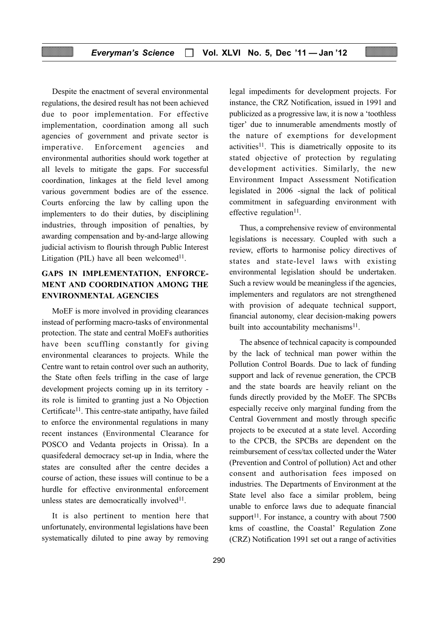#### Everyman's Science  $\Box$  Vol. XLVI No. 5, Dec '11 - Jan '12

Despite the enactment of several environmental regulations, the desired result has not been achieved due to poor implementation. For effective implementation, coordination among all such agencies of government and private sector is imperative. Enforcement agencies and environmental authorities should work together at all levels to mitigate the gaps. For successful coordination, linkages at the field level among various government bodies are of the essence. Courts enforcing the law by calling upon the implementers to do their duties, by disciplining industries, through imposition of penalties, by awarding compensation and by-and-large allowing judicial activism to flourish through Public Interest Litigation (PIL) have all been welcomed $11$ .

# GAPS IN IMPLEMENTATION, ENFORCE-MENT AND COORDINATION AMONG THE ENVIRONMENTAL AGENCIES

MoEF is more involved in providing clearances instead of performing macro-tasks of environmental protection. The state and central MoEFs authorities have been scuffling constantly for giving environmental clearances to projects. While the Centre want to retain control over such an authority, the State often feels trifling in the case of large development projects coming up in its territory its role is limited to granting just a No Objection Certificate<sup>11</sup>. This centre-state antipathy, have failed to enforce the environmental regulations in many recent instances (Environmental Clearance for POSCO and Vedanta projects in Orissa). In a quasifederal democracy set-up in India, where the states are consulted after the centre decides a course of action, these issues will continue to be a hurdle for effective environmental enforcement unless states are democratically involved $11$ .

It is also pertinent to mention here that unfortunately, environmental legislations have been systematically diluted to pine away by removing

legal impediments for development projects. For instance, the CRZ Notification, issued in 1991 and publicized as a progressive law, it is now a 'toothless tiger' due to innumerable amendments mostly of the nature of exemptions for development  $activities<sup>11</sup>$ . This is diametrically opposite to its stated objective of protection by regulating development activities. Similarly, the new Environment Impact Assessment Notification legislated in 2006 -signal the lack of political commitment in safeguarding environment with effective regulation<sup>11</sup>.

Thus, a comprehensive review of environmental legislations is necessary. Coupled with such a review, efforts to harmonise policy directives of states and state-level laws with existing environmental legislation should be undertaken. Such a review would be meaningless if the agencies, implementers and regulators are not strengthened with provision of adequate technical support, financial autonomy, clear decision-making powers built into accountability mechanisms $^{11}$ .

The absence of technical capacity is compounded by the lack of technical man power within the Pollution Control Boards. Due to lack of funding support and lack of revenue generation, the CPCB and the state boards are heavily reliant on the funds directly provided by the MoEF. The SPCBs especially receive only marginal funding from the Central Government and mostly through specific projects to be executed at a state level. According to the CPCB, the SPCBs are dependent on the reimbursement of cess/tax collected under the Water (Prevention and Control of pollution) Act and other consent and authorisation fees imposed on industries. The Departments of Environment at the State level also face a similar problem, being unable to enforce laws due to adequate financial support<sup>11</sup>. For instance, a country with about  $7500$ kms of coastline, the Coastal' Regulation Zone (CRZ) Notification 1991 set out a range of activities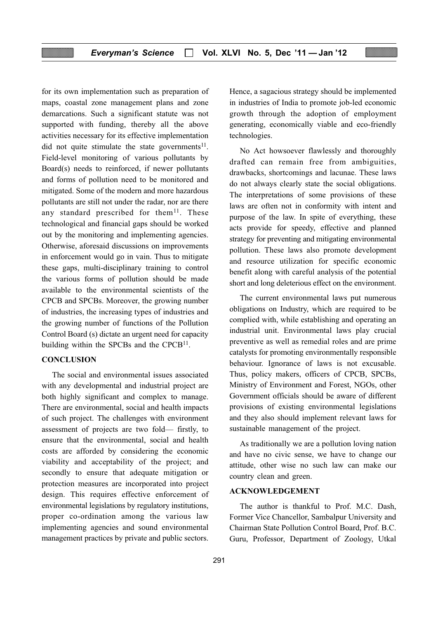for its own implementation such as preparation of maps, coastal zone management plans and zone demarcations. Such a significant statute was not supported with funding, thereby all the above activities necessary for its effective implementation did not quite stimulate the state governments<sup>11</sup>. Field-level monitoring of various pollutants by Board(s) needs to reinforced, if newer pollutants and forms of pollution need to be monitored and mitigated. Some of the modern and more hazardous pollutants are still not under the radar, nor are there any standard prescribed for them<sup>11</sup>. These technological and financial gaps should be worked out by the monitoring and implementing agencies. Otherwise, aforesaid discussions on improvements in enforcement would go in vain. Thus to mitigate these gaps, multi-disciplinary training to control the various forms of pollution should be made available to the environmental scientists of the CPCB and SPCBs. Moreover, the growing number of industries, the increasing types of industries and the growing number of functions of the Pollution Control Board (s) dictate an urgent need for capacity building within the SPCBs and the CPCB<sup>11</sup>.

#### **CONCLUSION**

The social and environmental issues associated with any developmental and industrial project are both highly significant and complex to manage. There are environmental, social and health impacts of such project. The challenges with environment assessment of projects are two fold— firstly, to ensure that the environmental, social and health costs are afforded by considering the economic viability and acceptability of the project; and secondly to ensure that adequate mitigation or protection measures are incorporated into project design. This requires effective enforcement of environmental legislations by regulatory institutions, proper co-ordination among the various law implementing agencies and sound environmental management practices by private and public sectors.

Hence, a sagacious strategy should be implemented in industries of India to promote job-led economic growth through the adoption of employment generating, economically viable and eco-friendly technologies.

No Act howsoever flawlessly and thoroughly drafted can remain free from ambiguities, drawbacks, shortcomings and lacunae. These laws do not always clearly state the social obligations. The interpretations of some provisions of these laws are often not in conformity with intent and purpose of the law. In spite of everything, these acts provide for speedy, effective and planned strategy for preventing and mitigating environmental pollution. These laws also promote development and resource utilization for specific economic benefit along with careful analysis of the potential short and long deleterious effect on the environment.

The current environmental laws put numerous obligations on Industry, which are required to be complied with, while establishing and operating an industrial unit. Environmental laws play crucial preventive as well as remedial roles and are prime catalysts for promoting environmentally responsible behaviour. Ignorance of laws is not excusable. Thus, policy makers, officers of CPCB, SPCBs, Ministry of Environment and Forest, NGOs, other Government officials should be aware of different provisions of existing environmental legislations and they also should implement relevant laws for sustainable management of the project.

As traditionally we are a pollution loving nation and have no civic sense, we have to change our attitude, other wise no such law can make our country clean and green.

#### ACKNOWLEDGEMENT

The author is thankful to Prof. M.C. Dash, Former Vice Chancellor, Sambalpur University and Chairman State Pollution Control Board, Prof. B.C. Guru, Professor, Department of Zoology, Utkal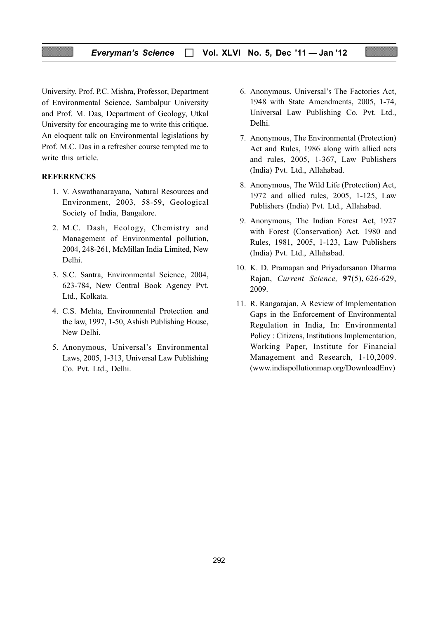#### Everyman's Science  $\Box$  Vol. XLVI No. 5, Dec '11 - Jan '12

University, Prof. P.C. Mishra, Professor, Department of Environmental Science, Sambalpur University and Prof. M. Das, Department of Geology, Utkal University for encouraging me to write this critique. An eloquent talk on Environmental legislations by Prof. M.C. Das in a refresher course tempted me to write this article.

#### **REFERENCES**

- 1. V. Aswathanarayana, Natural Resources and Environment, 2003, 58-59, Geological Society of India, Bangalore.
- 2. M.C. Dash, Ecology, Chemistry and Management of Environmental pollution, 2004, 248-261, McMillan India Limited, New Delhi.
- 3. S.C. Santra, Environmental Science, 2004, 623-784, New Central Book Agency Pvt. Ltd., Kolkata.
- 4. C.S. Mehta, Environmental Protection and the law, 1997, 1-50, Ashish Publishing House, New Delhi.
- 5. Anonymous, Universal's Environmental Laws, 2005, 1-313, Universal Law Publishing Co. Pvt. Ltd., Delhi.
- 6. Anonymous, Universal's The Factories Act, 1948 with State Amendments, 2005, 1-74, Universal Law Publishing Co. Pvt. Ltd., Delhi.
- 7. Anonymous, The Environmental (Protection) Act and Rules, 1986 along with allied acts and rules, 2005, 1-367, Law Publishers (India) Pvt. Ltd., Allahabad.
- 8. Anonymous, The Wild Life (Protection) Act, 1972 and allied rules, 2005, 1-125, Law Publishers (India) Pvt. Ltd., Allahabad.
- 9. Anonymous, The Indian Forest Act, 1927 with Forest (Conservation) Act, 1980 and Rules, 1981, 2005, 1-123, Law Publishers (India) Pvt. Ltd., Allahabad.
- 10. K. D. Pramapan and Priyadarsanan Dharma Rajan, Current Science, 97(5), 626-629, 2009.
- 11. R. Rangarajan, A Review of Implementation Gaps in the Enforcement of Environmental Regulation in India, In: Environmental Policy : Citizens, Institutions Implementation, Working Paper, Institute for Financial Management and Research, 1-10,2009. (www.indiapollutionmap.org/DownloadEnv)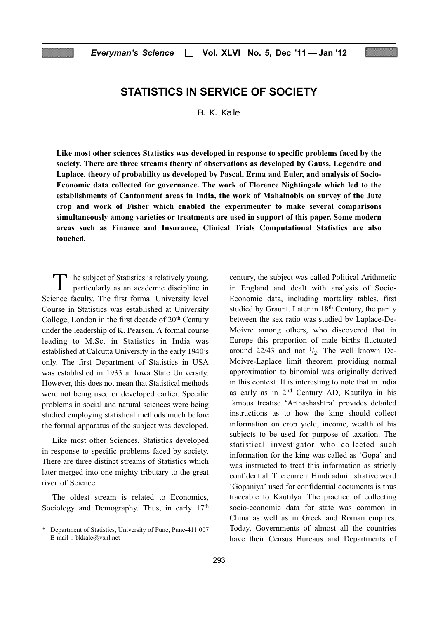# STATISTICS IN SERVICE OF SOCIETY

B. K. Kale

Like most other sciences Statistics was developed in response to specific problems faced by the society. There are three streams theory of observations as developed by Gauss, Legendre and Laplace, theory of probability as developed by Pascal, Erma and Euler, and analysis of Socio-Economic data collected for governance. The work of Florence Nightingale which led to the establishments of Cantonment areas in India, the work of Mahalnobis on survey of the Jute crop and work of Fisher which enabled the experimenter to make several comparisons simultaneously among varieties or treatments are used in support of this paper. Some modern areas such as Finance and Insurance, Clinical Trials Computational Statistics are also touched.

T he subject of Statistics is relatively young, particularly as an academic discipline in Science faculty. The first formal University level Course in Statistics was established at University College, London in the first decade of  $20<sup>th</sup>$  Century under the leadership of K. Pearson. A formal course leading to M.Sc. in Statistics in India was established at Calcutta University in the early 1940's only. The first Department of Statistics in USA was established in 1933 at Iowa State University. However, this does not mean that Statistical methods were not being used or developed earlier. Specific problems in social and natural sciences were being studied employing statistical methods much before the formal apparatus of the subject was developed.

Like most other Sciences, Statistics developed in response to specific problems faced by society. There are three distinct streams of Statistics which later merged into one mighty tributary to the great river of Science.

The oldest stream is related to Economics, Sociology and Demography. Thus, in early 17<sup>th</sup> century, the subject was called Political Arithmetic in England and dealt with analysis of Socio-Economic data, including mortality tables, first studied by Graunt. Later in  $18<sup>th</sup>$  Century, the parity between the sex ratio was studied by Laplace-De-Moivre among others, who discovered that in Europe this proportion of male births fluctuated around 22/43 and not  $\frac{1}{2}$ . The well known De-Moivre-Laplace limit theorem providing normal approximation to binomial was originally derived in this context. It is interesting to note that in India as early as in 2nd Century AD, Kautilya in his famous treatise 'Arthashashtra' provides detailed instructions as to how the king should collect information on crop yield, income, wealth of his subjects to be used for purpose of taxation. The statistical investigator who collected such information for the king was called as 'Gopa' and was instructed to treat this information as strictly confidential. The current Hindi administrative word 'Gopaniya' used for confidential documents is thus traceable to Kautilya. The practice of collecting socio-economic data for state was common in China as well as in Greek and Roman empires. Today, Governments of almost all the countries have their Census Bureaus and Departments of

<sup>\*</sup> Department of Statistics, University of Pune, Pune-411 007 E-mail : bkkale@vsnl.net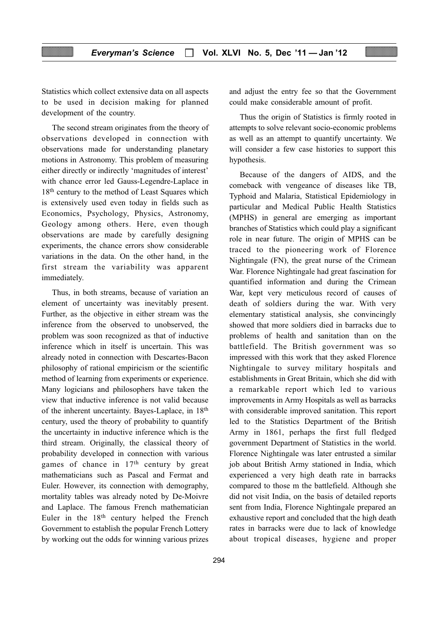Statistics which collect extensive data on all aspects to be used in decision making for planned development of the country.

The second stream originates from the theory of observations developed in connection with observations made for understanding planetary motions in Astronomy. This problem of measuring either directly or indirectly 'magnitudes of interest' with chance error led Gauss-Legendre-Laplace in 18<sup>th</sup> century to the method of Least Squares which is extensively used even today in fields such as Economics, Psychology, Physics, Astronomy, Geology among others. Here, even though observations are made by carefully designing experiments, the chance errors show considerable variations in the data. On the other hand, in the first stream the variability was apparent immediately.

Thus, in both streams, because of variation an element of uncertainty was inevitably present. Further, as the objective in either stream was the inference from the observed to unobserved, the problem was soon recognized as that of inductive inference which in itself is uncertain. This was already noted in connection with Descartes-Bacon philosophy of rational empiricism or the scientific method of learning from experiments or experience. Many logicians and philosophers have taken the view that inductive inference is not valid because of the inherent uncertainty. Bayes-Laplace, in 18th century, used the theory of probability to quantify the uncertainty in inductive inference which is the third stream. Originally, the classical theory of probability developed in connection with various games of chance in 17th century by great mathematicians such as Pascal and Fermat and Euler. However, its connection with demography, mortality tables was already noted by De-Moivre and Laplace. The famous French mathematician Euler in the  $18<sup>th</sup>$  century helped the French Government to establish the popular French Lottery by working out the odds for winning various prizes

294

and adjust the entry fee so that the Government could make considerable amount of profit.

Thus the origin of Statistics is firmly rooted in attempts to solve relevant socio-economic problems as well as an attempt to quantify uncertainty. We will consider a few case histories to support this hypothesis.

Because of the dangers of AIDS, and the comeback with vengeance of diseases like TB, Typhoid and Malaria, Statistical Epidemiology in particular and Medical Public Health Statistics (MPHS) in general are emerging as important branches of Statistics which could play a significant role in near future. The origin of MPHS can be traced to the pioneering work of Florence Nightingale (FN), the great nurse of the Crimean War. Florence Nightingale had great fascination for quantified information and during the Crimean War, kept very meticulous record of causes of death of soldiers during the war. With very elementary statistical analysis, she convincingly showed that more soldiers died in barracks due to problems of health and sanitation than on the battlefield. The British government was so impressed with this work that they asked Florence Nightingale to survey military hospitals and establishments in Great Britain, which she did with a remarkable report which led to various improvements in Army Hospitals as well as barracks with considerable improved sanitation. This report led to the Statistics Department of the British Army in 1861, perhaps the first full fledged government Department of Statistics in the world. Florence Nightingale was later entrusted a similar job about British Army stationed in India, which experienced a very high death rate in barracks compared to those m the battlefield. Although she did not visit India, on the basis of detailed reports sent from India, Florence Nightingale prepared an exhaustive report and concluded that the high death rates in barracks were due to lack of knowledge about tropical diseases, hygiene and proper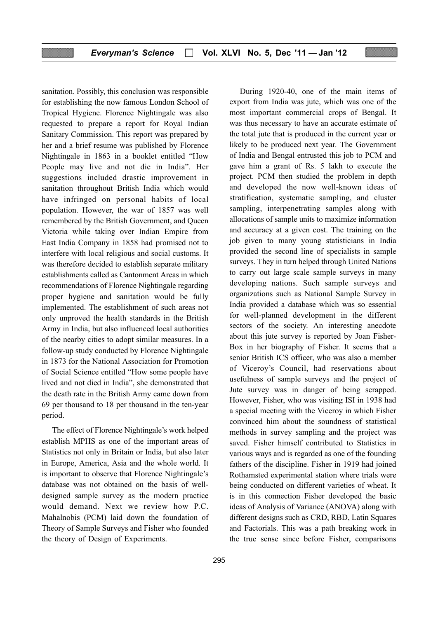sanitation. Possibly, this conclusion was responsible for establishing the now famous London School of Tropical Hygiene. Florence Nightingale was also requested to prepare a report for Royal Indian Sanitary Commission. This report was prepared by her and a brief resume was published by Florence Nightingale in 1863 in a booklet entitled "How People may live and not die in India". Her suggestions included drastic improvement in sanitation throughout British India which would have infringed on personal habits of local population. However, the war of 1857 was well remembered by the British Government, and Queen Victoria while taking over Indian Empire from East India Company in 1858 had promised not to interfere with local religious and social customs. It was therefore decided to establish separate military establishments called as Cantonment Areas in which recommendations of Florence Nightingale regarding proper hygiene and sanitation would be fully implemented. The establishment of such areas not only unproved the health standards in the British Army in India, but also influenced local authorities of the nearby cities to adopt similar measures. In a follow-up study conducted by Florence Nightingale in 1873 for the National Association for Promotion of Social Science entitled "How some people have lived and not died in India", she demonstrated that the death rate in the British Army came down from 69 per thousand to 18 per thousand in the ten-year period.

The effect of Florence Nightingale's work helped establish MPHS as one of the important areas of Statistics not only in Britain or India, but also later in Europe, America, Asia and the whole world. It is important to observe that Florence Nightingale's database was not obtained on the basis of welldesigned sample survey as the modern practice would demand. Next we review how P.C. Mahalnobis (PCM) laid down the foundation of Theory of Sample Surveys and Fisher who founded the theory of Design of Experiments.

gave him a grant of Rs. 5 lakh to execute the project. PCM then studied the problem in depth and developed the now well-known ideas of stratification, systematic sampling, and cluster sampling, interpenetrating samples along with allocations of sample units to maximize information and accuracy at a given cost. The training on the job given to many young statisticians in India provided the second line of specialists in sample surveys. They in turn helped through United Nations to carry out large scale sample surveys in many developing nations. Such sample surveys and organizations such as National Sample Survey in India provided a database which was so essential for well-planned development in the different sectors of the society. An interesting anecdote about this jute survey is reported by Joan Fisher-Box in her biography of Fisher. It seems that a senior British ICS officer, who was also a member of Viceroy's Council, had reservations about usefulness of sample surveys and the project of Jute survey was in danger of being scrapped. However, Fisher, who was visiting ISI in 1938 had a special meeting with the Viceroy in which Fisher convinced him about the soundness of statistical methods in survey sampling and the project was saved. Fisher himself contributed to Statistics in various ways and is regarded as one of the founding fathers of the discipline. Fisher in 1919 had joined Rothamsted experimental station where trials were being conducted on different varieties of wheat. It is in this connection Fisher developed the basic ideas of Analysis of Variance (ANOVA) along with different designs such as CRD, RBD, Latin Squares and Factorials. This was a path breaking work in the true sense since before Fisher, comparisons

During 1920-40, one of the main items of export from India was jute, which was one of the most important commercial crops of Bengal. It was thus necessary to have an accurate estimate of the total jute that is produced in the current year or likely to be produced next year. The Government of India and Bengal entrusted this job to PCM and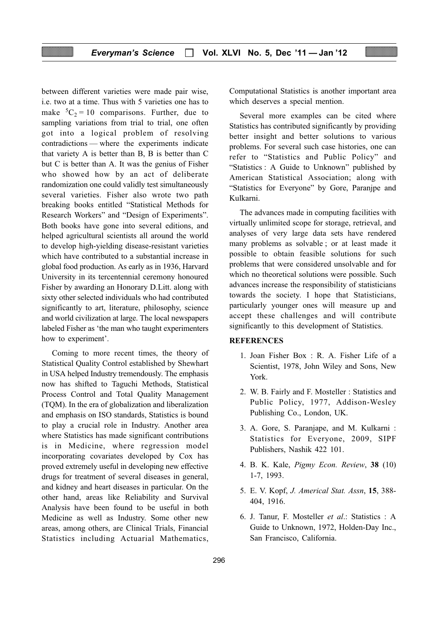between different varieties were made pair wise, i.e. two at a time. Thus with 5 varieties one has to make  ${}^5C_2 = 10$  comparisons. Further, due to sampling variations from trial to trial, one often got into a logical problem of resolving contradictions — where the experiments indicate that variety A is better than B, B is better than C but C is better than A. It was the genius of Fisher who showed how by an act of deliberate randomization one could validly test simultaneously several varieties. Fisher also wrote two path breaking books entitled "Statistical Methods for Research Workers" and "Design of Experiments". Both books have gone into several editions, and helped agricultural scientists all around the world to develop high-yielding disease-resistant varieties which have contributed to a substantial increase in global food production. As early as in 1936, Harvard University in its tercentennial ceremony honoured Fisher by awarding an Honorary D.Litt. along with sixty other selected individuals who had contributed significantly to art, literature, philosophy, science and world civilization at large. The local newspapers labeled Fisher as 'the man who taught experimenters how to experiment'.

Coming to more recent times, the theory of Statistical Quality Control established by Shewhart in USA helped Industry tremendously. The emphasis now has shifted to Taguchi Methods, Statistical Process Control and Total Quality Management (TQM). In the era of globalization and liberalization and emphasis on ISO standards, Statistics is bound to play a crucial role in Industry. Another area where Statistics has made significant contributions is in Medicine, where regression model incorporating covariates developed by Cox has proved extremely useful in developing new effective drugs for treatment of several diseases in general, and kidney and heart diseases in particular. On the other hand, areas like Reliability and Survival Analysis have been found to be useful in both Medicine as well as Industry. Some other new areas, among others, are Clinical Trials, Financial Statistics including Actuarial Mathematics,

Computational Statistics is another important area which deserves a special mention.

Several more examples can be cited where Statistics has contributed significantly by providing better insight and better solutions to various problems. For several such case histories, one can refer to "Statistics and Public Policy" and "Statistics : A Guide to Unknown" published by American Statistical Association; along with "Statistics for Everyone" by Gore, Paranjpe and Kulkarni.

The advances made in computing facilities with virtually unlimited scope for storage, retrieval, and analyses of very large data sets have rendered many problems as solvable ; or at least made it possible to obtain feasible solutions for such problems that were considered unsolvable and for which no theoretical solutions were possible. Such advances increase the responsibility of statisticians towards the society. I hope that Statisticians, particularly younger ones will measure up and accept these challenges and will contribute significantly to this development of Statistics.

#### **REFERENCES**

- 1. Joan Fisher Box : R. A. Fisher Life of a Scientist, 1978, John Wiley and Sons, New York.
- 2. W. B. Fairly and F. Mosteller : Statistics and Public Policy, 1977, Addison-Wesley Publishing Co., London, UK.
- 3. A. Gore, S. Paranjape, and M. Kulkarni : Statistics for Everyone, 2009, SIPF Publishers, Nashik 422 101.
- 4. B. K. Kale, Pigmy Econ. Review, 38 (10) 1-7, 1993.
- 5. E. V. Kopf, J. Americal Stat. Assn, 15, 388- 404, 1916.
- 6. J. Tanur, F. Mosteller et al.: Statistics : A Guide to Unknown, 1972, Holden-Day Inc., San Francisco, California.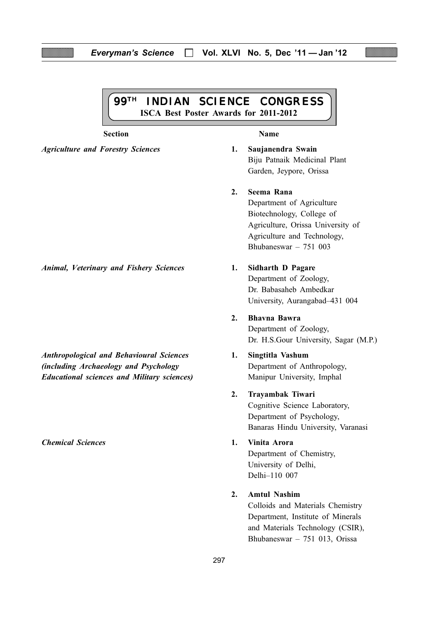#### Everyman's Science  $\Box$  Vol. XLVI No. 5, Dec '11 - Jan '12

99TH INDIAN SCIENCE CONGRESS ISCA Best Poster Awards for 2011-2012

#### Section Name

Agriculture and Forestry Sciences 1. Saujanendra Swain Biju Patnaik Medicinal Plant Garden, Jeypore, Orissa

#### 2. Seema Rana

Department of Agriculture Biotechnology, College of Agriculture, Orissa University of Agriculture and Technology, Bhubaneswar – 751 003

Department of Zoology, Dr. Babasaheb Ambedkar University, Aurangabad–431 004

- 2. Bhavna Bawra Department of Zoology, Dr. H.S.Gour University, Sagar (M.P.)
- 
- 2. Trayambak Tiwari

Cognitive Science Laboratory, Department of Psychology, Banaras Hindu University, Varanasi

Department of Chemistry, University of Delhi, Delhi–110 007

#### 2. Amtul Nashim

Colloids and Materials Chemistry Department, Institute of Minerals and Materials Technology (CSIR), Bhubaneswar – 751 013, Orissa

Animal, Veterinary and Fishery Sciences 1. Sidharth D Pagare

Anthropological and Behavioural Sciences 1. Singtitla Vashum (*including Archaeology and Psychology* Department of Anthropology, Educational sciences and Military sciences) Manipur University, Imphal

Chemical Sciences 1. Vinita Arora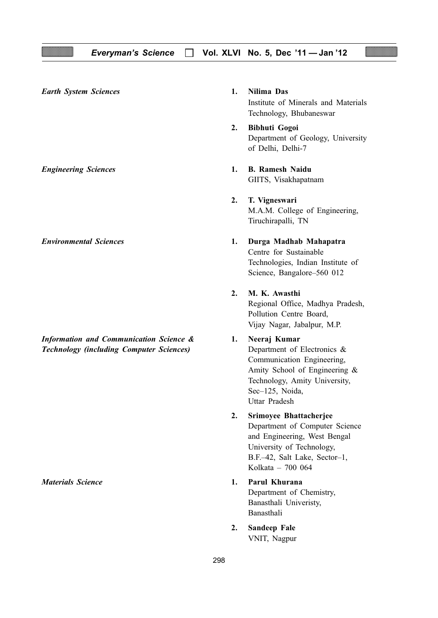298 Earth System Sciences 1. Nilima Das Institute of Minerals and Materials Technology, Bhubaneswar 2. Bibhuti Gogoi Department of Geology, University of Delhi, Delhi-7 Engineering Sciences 1. B. Ramesh Naidu GIITS, Visakhapatnam 2. T. Vigneswari M.A.M. College of Engineering, Tiruchirapalli, TN Environmental Sciences 1. Durga Madhab Mahapatra Centre for Sustainable Technologies, Indian Institute of Science, Bangalore–560 012 2. M. K. Awasthi Regional Office, Madhya Pradesh, Pollution Centre Board, Vijay Nagar, Jabalpur, M.P. Information and Communication Science & 1. Neeraj Kumar **Technology (including Computer Sciences)** Department of Electronics & Communication Engineering, Amity School of Engineering & Technology, Amity University, Sec–125, Noida, Uttar Pradesh 2. Srimoyee Bhattacherjee Department of Computer Science and Engineering, West Bengal University of Technology, B.F.–42, Salt Lake, Sector–1, Kolkata – 700 064 Materials Science **1. Particular 1. Parul Khurana** Department of Chemistry, Banasthali Univeristy, Banasthali 2. Sandeep Fale VNIT, Nagpur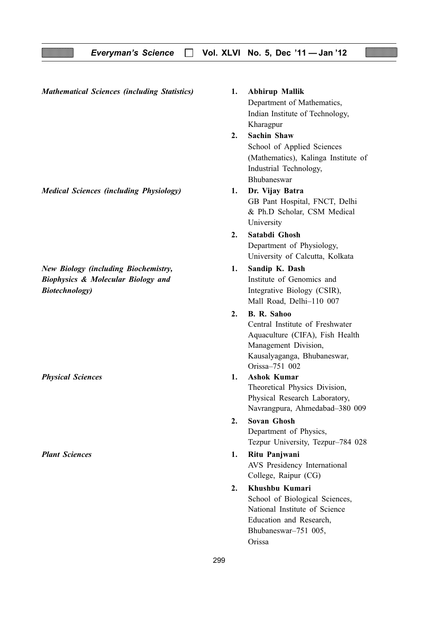Mathematical Sciences (including Statistics) 1. Abhirup Mallik

Medical Sciences (including Physiology) 1. Dr. Vijay Batra

New Biology (including Biochemistry, 1. Sandip K. Dash **Biophysics & Molecular Biology and Institute of Genomics and** Biotechnology) and the extended integrative Biology (CSIR),

Department of Mathematics, Indian Institute of Technology, Kharagpur 2. Sachin Shaw

> School of Applied Sciences (Mathematics), Kalinga Institute of Industrial Technology, Bhubaneswar

- GB Pant Hospital, FNCT, Delhi & Ph.D Scholar, CSM Medical University
- 2. Satabdi Ghosh Department of Physiology, University of Calcutta, Kolkata
- Mall Road, Delhi–110 007
- 2. B. R. Sahoo Central Institute of Freshwater Aquaculture (CIFA), Fish Health Management Division, Kausalyaganga, Bhubaneswar, Orissa–751 002
- Physical Sciences 1. Ashok Kumar Theoretical Physics Division, Physical Research Laboratory, Navrangpura, Ahmedabad–380 009
	- 2. Sovan Ghosh Department of Physics, Tezpur University, Tezpur–784 028
- Plant Sciences 2. 2012 1. Ritu Panjwani AVS Presidency International College, Raipur (CG)
	- 2. Khushbu Kumari School of Biological Sciences, National Institute of Science Education and Research, Bhubaneswar–751 005, Orissa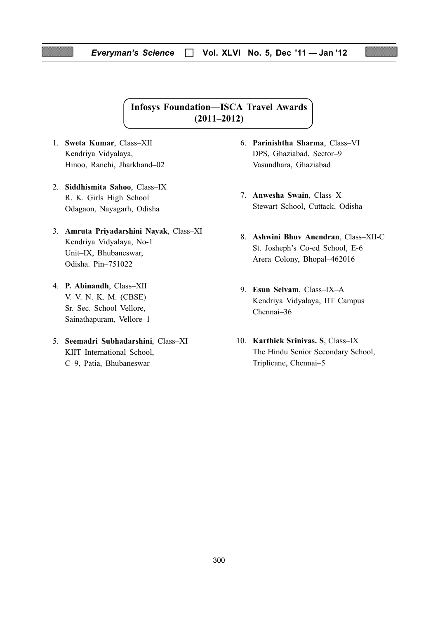#### Everyman's Science  $\Box$  Vol. XLVI No. 5, Dec '11 - Jan '12

# Infosys Foundation—ISCA Travel Awards (2011–2012)

- 1. Sweta Kumar, Class–XII Kendriya Vidyalaya, Hinoo, Ranchi, Jharkhand–02
- 2. Siddhismita Sahoo, Class–IX R. K. Girls High School Odagaon, Nayagarh, Odisha
- 3. Amruta Priyadarshini Nayak, Class–XI Kendriya Vidyalaya, No-1 Unit–IX, Bhubaneswar, Odisha. Pin–751022
- 4. P. Abinandh, Class–XII V. V. N. K. M. (CBSE) Sr. Sec. School Vellore, Sainathapuram, Vellore–1
- 5. Seemadri Subhadarshini, Class–XI KIIT International School, C–9, Patia, Bhubaneswar
- 6. Parinishtha Sharma, Class–VI DPS, Ghaziabad, Sector–9 Vasundhara, Ghaziabad
- 7. Anwesha Swain, Class–X Stewart School, Cuttack, Odisha
- 8. Ashwini Bhuv Anendran, Class–XII-C St. Josheph's Co-ed School, E-6 Arera Colony, Bhopal–462016
- 9. Esun Selvam, Class–IX–A Kendriya Vidyalaya, IIT Campus Chennai–36
- 10. Karthick Srinivas. S, Class–IX The Hindu Senior Secondary School, Triplicane, Chennai–5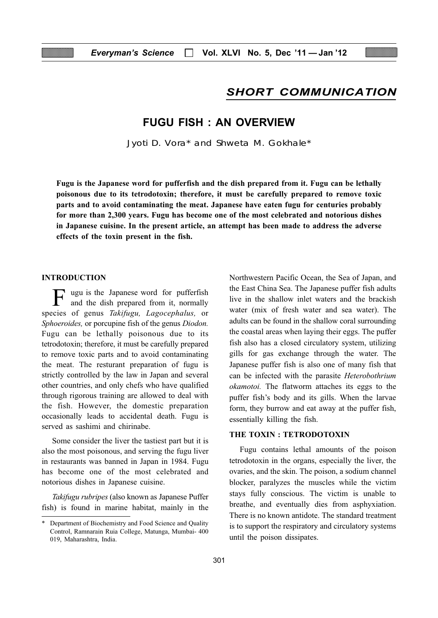# SHORT COMMUNICATION

# FUGU FISH : AN OVERVIEW

Jyoti D. Vora\* and Shweta M. Gokhale\*

Fugu is the Japanese word for pufferfish and the dish prepared from it. Fugu can be lethally poisonous due to its tetrodotoxin; therefore, it must be carefully prepared to remove toxic parts and to avoid contaminating the meat. Japanese have eaten fugu for centuries probably for more than 2,300 years. Fugu has become one of the most celebrated and notorious dishes in Japanese cuisine. In the present article, an attempt has been made to address the adverse effects of the toxin present in the fish.

#### INTRODUCTION

F ugu is the Japanese word for pufferfish and the dish prepared from it, normally species of genus Takifugu, Lagocephalus, or Sphoeroides, or porcupine fish of the genus Diodon. Fugu can be lethally poisonous due to its tetrodotoxin; therefore, it must be carefully prepared to remove toxic parts and to avoid contaminating the meat. The resturant preparation of fugu is strictly controlled by the law in Japan and several other countries, and only chefs who have qualified through rigorous training are allowed to deal with the fish. However, the domestic preparation occasionally leads to accidental death. Fugu is served as sashimi and chirinabe.

Some consider the liver the tastiest part but it is also the most poisonous, and serving the fugu liver in restaurants was banned in Japan in 1984. Fugu has become one of the most celebrated and notorious dishes in Japanese cuisine.

Takifugu rubripes (also known as Japanese Puffer fish) is found in marine habitat, mainly in the Northwestern Pacific Ocean, the Sea of Japan, and the East China Sea. The Japanese puffer fish adults live in the shallow inlet waters and the brackish water (mix of fresh water and sea water). The adults can be found in the shallow coral surrounding the coastal areas when laying their eggs. The puffer fish also has a closed circulatory system, utilizing gills for gas exchange through the water. The Japanese puffer fish is also one of many fish that can be infected with the parasite Heterobothrium okamotoi. The flatworm attaches its eggs to the puffer fish's body and its gills. When the larvae form, they burrow and eat away at the puffer fish, essentially killing the fish.

#### THE TOXIN : TETRODOTOXIN

Fugu contains lethal amounts of the poison tetrodotoxin in the organs, especially the liver, the ovaries, and the skin. The poison, a sodium channel blocker, paralyzes the muscles while the victim stays fully conscious. The victim is unable to breathe, and eventually dies from asphyxiation. There is no known antidote. The standard treatment is to support the respiratory and circulatory systems until the poison dissipates.

Department of Biochemistry and Food Science and Quality Control, Ramnarain Ruia College, Matunga, Mumbai- 400 019, Maharashtra, India.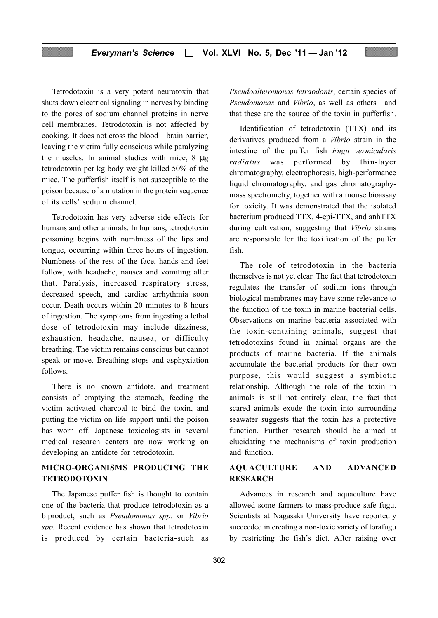Tetrodotoxin is a very potent neurotoxin that shuts down electrical signaling in nerves by binding to the pores of sodium channel proteins in nerve cell membranes. Tetrodotoxin is not affected by cooking. It does not cross the blood—brain barrier, leaving the victim fully conscious while paralyzing the muscles. In animal studies with mice, 8 µg tetrodotoxin per kg body weight killed 50% of the mice. The pufferfish itself is not susceptible to the poison because of a mutation in the protein sequence of its cells' sodium channel.

Tetrodotoxin has very adverse side effects for humans and other animals. In humans, tetrodotoxin poisoning begins with numbness of the lips and tongue, occurring within three hours of ingestion. Numbness of the rest of the face, hands and feet follow, with headache, nausea and vomiting after that. Paralysis, increased respiratory stress, decreased speech, and cardiac arrhythmia soon occur. Death occurs within 20 minutes to 8 hours of ingestion. The symptoms from ingesting a lethal dose of tetrodotoxin may include dizziness, exhaustion, headache, nausea, or difficulty breathing. The victim remains conscious but cannot speak or move. Breathing stops and asphyxiation follows.

There is no known antidote, and treatment consists of emptying the stomach, feeding the victim activated charcoal to bind the toxin, and putting the victim on life support until the poison has worn off. Japanese toxicologists in several medical research centers are now working on developing an antidote for tetrodotoxin.

# MICRO-ORGANISMS PRODUCING THE TETRODOTOXIN

The Japanese puffer fish is thought to contain one of the bacteria that produce tetrodotoxin as a biproduct, such as Pseudomonas spp. or Vibrio spp. Recent evidence has shown that tetrodotoxin is produced by certain bacteria-such as Pseudoalteromonas tetraodonis, certain species of Pseudomonas and Vibrio, as well as others—and that these are the source of the toxin in pufferfish.

Identification of tetrodotoxin (TTX) and its derivatives produced from a Vibrio strain in the intestine of the puffer fish Fugu vermicularis radiatus was performed by thin-layer chromatography, electrophoresis, high-performance liquid chromatography, and gas chromatographymass spectrometry, together with a mouse bioassay for toxicity. It was demonstrated that the isolated bacterium produced TTX, 4-epi-TTX, and anhTTX during cultivation, suggesting that Vibrio strains are responsible for the toxification of the puffer fish.

The role of tetrodotoxin in the bacteria themselves is not yet clear. The fact that tetrodotoxin regulates the transfer of sodium ions through biological membranes may have some relevance to the function of the toxin in marine bacterial cells. Observations on marine bacteria associated with the toxin-containing animals, suggest that tetrodotoxins found in animal organs are the products of marine bacteria. If the animals accumulate the bacterial products for their own purpose, this would suggest a symbiotic relationship. Although the role of the toxin in animals is still not entirely clear, the fact that scared animals exude the toxin into surrounding seawater suggests that the toxin has a protective function. Further research should be aimed at elucidating the mechanisms of toxin production and function.

### AQUACULTURE AND ADVANCED RESEARCH

Advances in research and aquaculture have allowed some farmers to mass-produce safe fugu. Scientists at Nagasaki University have reportedly succeeded in creating a non-toxic variety of torafugu by restricting the fish's diet. After raising over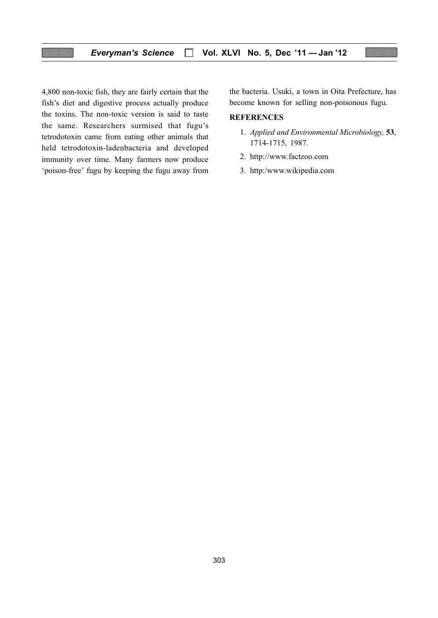4,800 non-toxic fish, they are fairly certain that the fish's diet and digestive process actually produce the toxins. The non-toxic version is said to taste the same. Researchers surmised that fugu's tetrodotoxin came from eating other animals that held tetrodotoxin-ladenbacteria and developed immunity over time. Many farmers now produce 'poison-free' fugu by keeping the fugu away from the bacteria. Usuki, a town in Oita Prefecture, has become known for selling non-poisonous fugu.

#### **REFERENCES**

- 1. Applied and Environmental Microbiology, 53, 1714-1715, 1987.
- 2. http://www.factzoo.com
- 3. http:/www.wikipedia.com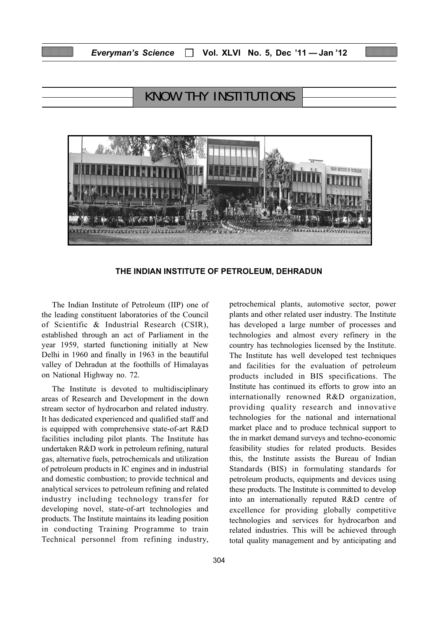# KNOW THY INSTITUTIONS



THE INDIAN INSTITUTE OF PETROLEUM, DEHRADUN

The Indian Institute of Petroleum (IIP) one of the leading constituent laboratories of the Council of Scientific & Industrial Research (CSIR), established through an act of Parliament in the year 1959, started functioning initially at New Delhi in 1960 and finally in 1963 in the beautiful valley of Dehradun at the foothills of Himalayas on National Highway no. 72.

The Institute is devoted to multidisciplinary areas of Research and Development in the down stream sector of hydrocarbon and related industry. It has dedicated experienced and qualified staff and is equipped with comprehensive state-of-art R&D facilities including pilot plants. The Institute has undertaken R&D work in petroleum refining, natural gas, alternative fuels, petrochemicals and utilization of petroleum products in IC engines and in industrial and domestic combustion; to provide technical and analytical services to petroleum refining and related industry including technology transfer for developing novel, state-of-art technologies and products. The Institute maintains its leading position in conducting Training Programme to train Technical personnel from refining industry, petrochemical plants, automotive sector, power plants and other related user industry. The Institute has developed a large number of processes and technologies and almost every refinery in the country has technologies licensed by the Institute. The Institute has well developed test techniques and facilities for the evaluation of petroleum products included in BIS specifications. The Institute has continued its efforts to grow into an internationally renowned R&D organization, providing quality research and innovative technologies for the national and international market place and to produce technical support to the in market demand surveys and techno-economic feasibility studies for related products. Besides this, the Institute assists the Bureau of Indian Standards (BIS) in formulating standards for petroleum products, equipments and devices using these products. The Institute is committed to develop into an internationally reputed R&D centre of excellence for providing globally competitive technologies and services for hydrocarbon and related industries. This will be achieved through total quality management and by anticipating and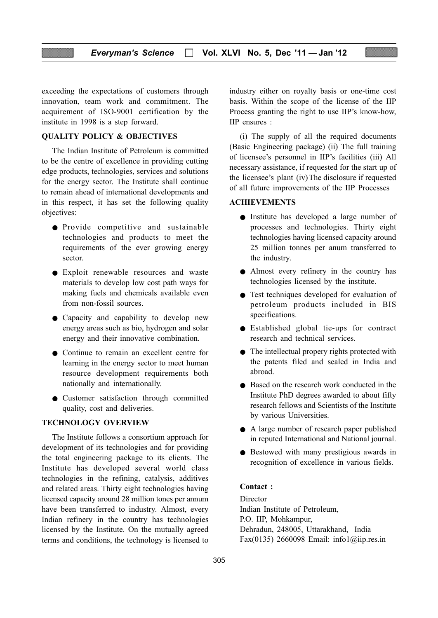exceeding the expectations of customers through innovation, team work and commitment. The acquirement of ISO-9001 certification by the institute in 1998 is a step forward.

#### QUALITY POLICY & OBJECTIVES

The Indian Institute of Petroleum is committed to be the centre of excellence in providing cutting edge products, technologies, services and solutions for the energy sector. The Institute shall continue to remain ahead of international developments and in this respect, it has set the following quality objectives:

- Provide competitive and sustainable technologies and products to meet the requirements of the ever growing energy sector.
- Exploit renewable resources and waste materials to develop low cost path ways for making fuels and chemicals available even from non-fossil sources.
- Capacity and capability to develop new energy areas such as bio, hydrogen and solar energy and their innovative combination.
- Continue to remain an excellent centre for learning in the energy sector to meet human resource development requirements both nationally and internationally.
- Customer satisfaction through committed quality, cost and deliveries.

#### TECHNOLOGY OVERVIEW

The Institute follows a consortium approach for development of its technologies and for providing the total engineering package to its clients. The Institute has developed several world class technologies in the refining, catalysis, additives and related areas. Thirty eight technologies having licensed capacity around 28 million tones per annum have been transferred to industry. Almost, every Indian refinery in the country has technologies licensed by the Institute. On the mutually agreed terms and conditions, the technology is licensed to

industry either on royalty basis or one-time cost basis. Within the scope of the license of the IIP Process granting the right to use IIP's know-how, IIP ensures :

(i) The supply of all the required documents (Basic Engineering package) (ii) The full training of licensee's personnel in IIP's facilities (iii) All necessary assistance, if requested for the start up of the licensee's plant (iv)The disclosure if requested of all future improvements of the IIP Processes

#### ACHIEVEMENTS

- Institute has developed a large number of processes and technologies. Thirty eight technologies having licensed capacity around 25 million tonnes per anum transferred to the industry.
- Almost every refinery in the country has technologies licensed by the institute.
- Test techniques developed for evaluation of petroleum products included in BIS specifications.
- Established global tie-ups for contract research and technical services.
- The intellectual propery rights protected with the patents filed and sealed in India and abroad.
- Based on the research work conducted in the Institute PhD degrees awarded to about fifty research fellows and Scientists of the Institute by various Universities.
- A large number of research paper published in reputed International and National journal.
- Bestowed with many prestigious awards in recognition of excellence in various fields.

#### Contact :

Director Indian Institute of Petroleum, P.O. IIP, Mohkampur, Dehradun, 248005, Uttarakhand, India Fax(0135) 2660098 Email: info1@iip.res.in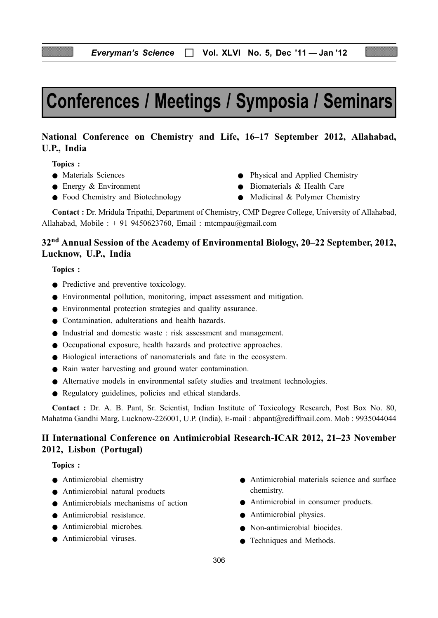# Conferences / Meetings / Symposia / Seminars

# National Conference on Chemistry and Life, 16–17 September 2012, Allahabad, U.P., India

Topics :

- 
- 
- Food Chemistry and Biotechnology Medicinal & Polymer Chemistry
- Materials Sciences Physical and Applied Chemistry
- Energy & Environment Biomaterials & Health Care
	-

Contact : Dr. Mridula Tripathi, Department of Chemistry, CMP Degree College, University of Allahabad, Allahabad, Mobile : + 91 9450623760, Email : mtcmpau@gmail.com

# 32nd Annual Session of the Academy of Environmental Biology, 20–22 September, 2012, Lucknow, U.P., India

Topics :

- Predictive and preventive toxicology.
- Environmental pollution, monitoring, impact assessment and mitigation.
- Environmental protection strategies and quality assurance.
- Contamination, adulterations and health hazards.
- Industrial and domestic waste : risk assessment and management.
- Occupational exposure, health hazards and protective approaches.
- Biological interactions of nanomaterials and fate in the ecosystem.
- Rain water harvesting and ground water contamination.
- Alternative models in environmental safety studies and treatment technologies.
- Regulatory guidelines, policies and ethical standards.

Contact : Dr. A. B. Pant, Sr. Scientist, Indian Institute of Toxicology Research, Post Box No. 80, Mahatma Gandhi Marg, Lucknow-226001, U.P. (India), E-mail : abpant@rediffmail.com. Mob : 9935044044

# II International Conference on Antimicrobial Research-ICAR 2012, 21–23 November 2012, Lisbon (Portugal)

#### Topics :

- Antimicrobial chemistry
- Antimicrobial natural products
- Antimicrobials mechanisms of action
- Antimicrobial resistance.
- Antimicrobial microbes.
- Antimicrobial viruses
- Antimicrobial materials science and surface chemistry.
- Antimicrobial in consumer products.
- Antimicrobial physics.
- Non-antimicrobial biocides.
- Techniques and Methods.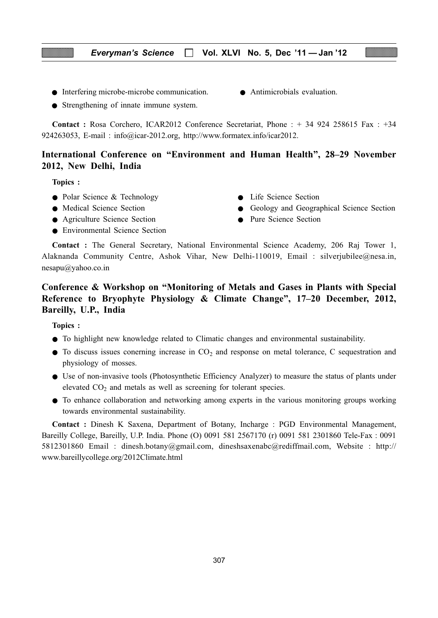- Interfering microbe-microbe communication.
- Strengthening of innate immune system.
- Antimicrobials evaluation.

Contact : Rosa Corchero, ICAR2012 Conference Secretariat, Phone : + 34 924 258615 Fax : +34 924263053, E-mail : info@icar-2012.org, http://www.formatex.info/icar2012.

# International Conference on "Environment and Human Health", 28–29 November 2012, New Delhi, India

Topics :

- Polar Science & Technology **•** Life Science Section
- 
- Agriculture Science Section Pure Science Section
- Environmental Science Section
- 
- Medical Science Section Geology and Geographical Science Section
	-

Contact : The General Secretary, National Environmental Science Academy, 206 Raj Tower 1, Alaknanda Community Centre, Ashok Vihar, New Delhi-110019, Email : silverjubilee@nesa.in, nesapu@yahoo.co.in

# Conference & Workshop on "Monitoring of Metals and Gases in Plants with Special Reference to Bryophyte Physiology & Climate Change", 17–20 December, 2012, Bareilly, U.P., India

Topics :

- To highlight new knowledge related to Climatic changes and environmental sustainability.
- $\bullet$  To discuss issues conerning increase in  $CO<sub>2</sub>$  and response on metal tolerance, C sequestration and physiology of mosses.
- Use of non-invasive tools (Photosynthetic Efficiency Analyzer) to measure the status of plants under elevated  $CO<sub>2</sub>$  and metals as well as screening for tolerant species.
- To enhance collaboration and networking among experts in the various monitoring groups working towards environmental sustainability.

Contact : Dinesh K Saxena, Department of Botany, Incharge : PGD Environmental Management, Bareilly College, Bareilly, U.P. India. Phone (O) 0091 581 2567170 (r) 0091 581 2301860 Tele-Fax : 0091 5812301860 Email : dinesh.botany@gmail.com, dineshsaxenabc@rediffmail.com, Website : http:// www.bareillycollege.org/2012Climate.html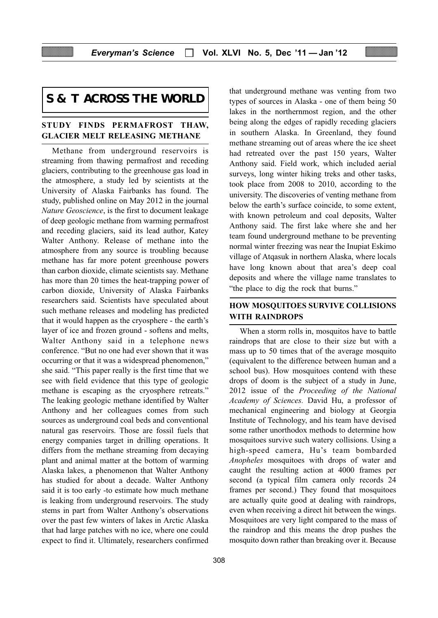# **S & T ACROSS THE WORLD**

#### STUDY FINDS PERMAFROST THAW, GLACIER MELT RELEASING METHANE

Methane from underground reservoirs is streaming from thawing permafrost and receding glaciers, contributing to the greenhouse gas load in the atmosphere, a study led by scientists at the University of Alaska Fairbanks has found. The study, published online on May 2012 in the journal Nature Geoscience, is the first to document leakage of deep geologic methane from warming permafrost and receding glaciers, said its lead author, Katey Walter Anthony. Release of methane into the atmosphere from any source is troubling because methane has far more potent greenhouse powers than carbon dioxide, climate scientists say. Methane has more than 20 times the heat-trapping power of carbon dioxide, University of Alaska Fairbanks researchers said. Scientists have speculated about such methane releases and modeling has predicted that it would happen as the cryosphere - the earth's layer of ice and frozen ground - softens and melts, Walter Anthony said in a telephone news conference. "But no one had ever shown that it was occurring or that it was a widespread phenomenon," she said. "This paper really is the first time that we see with field evidence that this type of geologic methane is escaping as the cryosphere retreats." The leaking geologic methane identified by Walter Anthony and her colleagues comes from such sources as underground coal beds and conventional natural gas reservoirs. Those are fossil fuels that energy companies target in drilling operations. It differs from the methane streaming from decaying plant and animal matter at the bottom of warming Alaska lakes, a phenomenon that Walter Anthony has studied for about a decade. Walter Anthony said it is too early -to estimate how much methane is leaking from underground reservoirs. The study stems in part from Walter Anthony's observations over the past few winters of lakes in Arctic Alaska that had large patches with no ice, where one could expect to find it. Ultimately, researchers confirmed

that underground methane was venting from two types of sources in Alaska - one of them being 50 lakes in the northernmost region, and the other being along the edges of rapidly receding glaciers in southern Alaska. In Greenland, they found methane streaming out of areas where the ice sheet had retreated over the past 150 years, Walter Anthony said. Field work, which included aerial surveys, long winter hiking treks and other tasks, took place from 2008 to 2010, according to the university. The discoveries of venting methane from below the earth's surface coincide, to some extent, with known petroleum and coal deposits, Walter Anthony said. The first lake where she and her team found underground methane to be preventing normal winter freezing was near the Inupiat Eskimo village of Atqasuk in northern Alaska, where locals have long known about that area's deep coal deposits and where the village name translates to "the place to dig the rock that burns."

# HOW MOSQUITOES SURVIVE COLLISIONS WITH RAINDROPS

When a storm rolls in, mosquitos have to battle raindrops that are close to their size but with a mass up to 50 times that of the average mosquito (equivalent to the difference between human and a school bus). How mosquitoes contend with these drops of doom is the subject of a study in June, 2012 issue of the Proceeding of the National Academy of Sciences. David Hu, a professor of mechanical engineering and biology at Georgia Institute of Technology, and his team have devised some rather unorthodox methods to determine how mosquitoes survive such watery collisions. Using a high-speed camera, Hu's team bombarded Anopheles mosquitoes with drops of water and caught the resulting action at 4000 frames per second (a typical film camera only records 24 frames per second.) They found that mosquitoes are actually quite good at dealing with raindrops, even when receiving a direct hit between the wings. Mosquitoes are very light compared to the mass of the raindrop and this means the drop pushes the mosquito down rather than breaking over it. Because